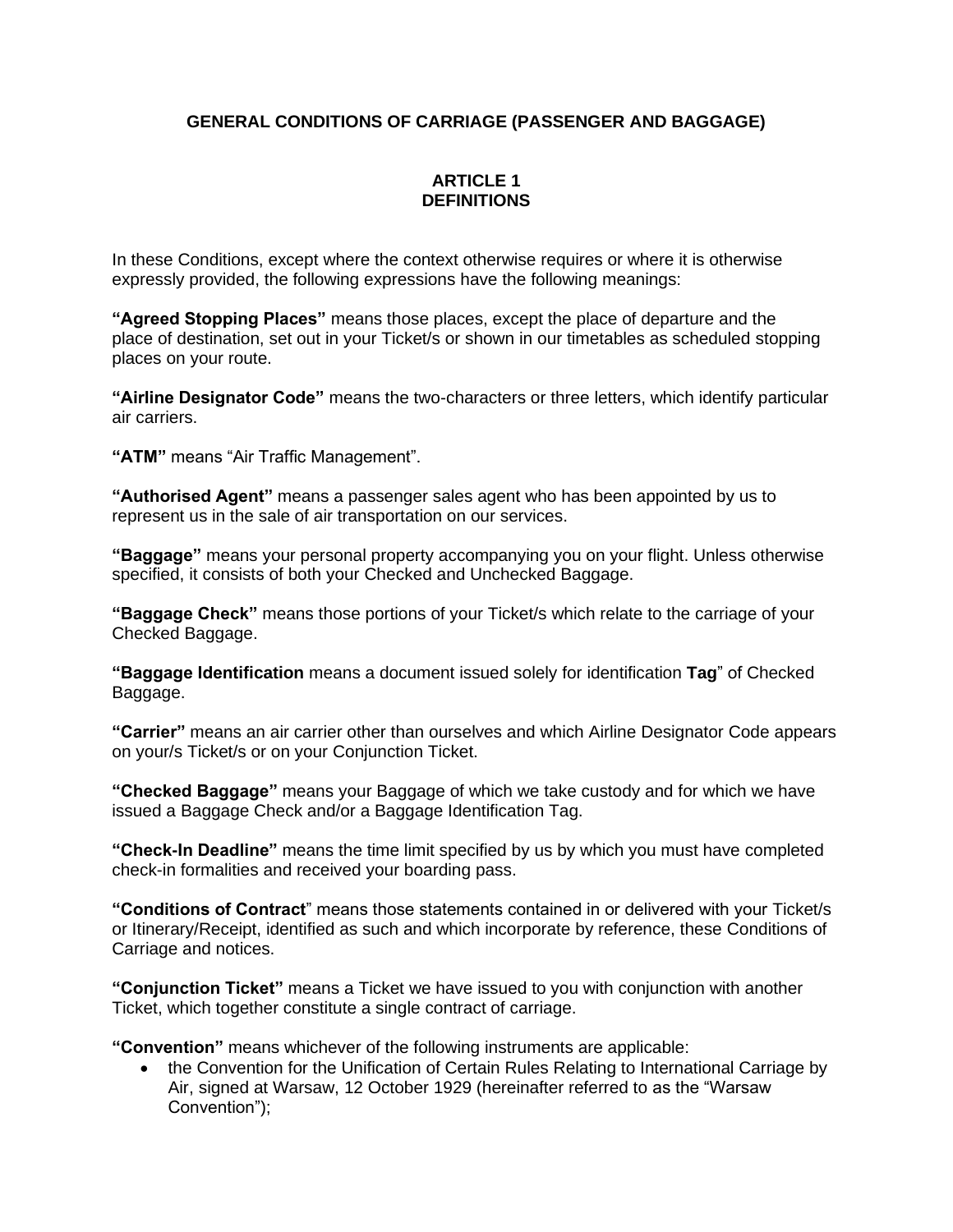# **GENERAL CONDITIONS OF CARRIAGE (PASSENGER AND BAGGAGE)**

## **ARTICLE 1 DEFINITIONS**

In these Conditions, except where the context otherwise requires or where it is otherwise expressly provided, the following expressions have the following meanings:

**"Agreed Stopping Places"** means those places, except the place of departure and the place of destination, set out in your Ticket/s or shown in our timetables as scheduled stopping places on your route.

**"Airline Designator Code"** means the two-characters or three letters, which identify particular air carriers.

**"ATM"** means "Air Traffic Management".

**"Authorised Agent"** means a passenger sales agent who has been appointed by us to represent us in the sale of air transportation on our services.

**"Baggage"** means your personal property accompanying you on your flight. Unless otherwise specified, it consists of both your Checked and Unchecked Baggage.

**"Baggage Check"** means those portions of your Ticket/s which relate to the carriage of your Checked Baggage.

**"Baggage Identification** means a document issued solely for identification **Tag**" of Checked Baggage.

**"Carrier"** means an air carrier other than ourselves and which Airline Designator Code appears on your/s Ticket/s or on your Conjunction Ticket.

**"Checked Baggage"** means your Baggage of which we take custody and for which we have issued a Baggage Check and/or a Baggage Identification Tag.

**"Check-In Deadline"** means the time limit specified by us by which you must have completed check-in formalities and received your boarding pass.

**"Conditions of Contract**" means those statements contained in or delivered with your Ticket/s or Itinerary/Receipt, identified as such and which incorporate by reference, these Conditions of Carriage and notices.

**"Conjunction Ticket"** means a Ticket we have issued to you with conjunction with another Ticket, which together constitute a single contract of carriage.

**"Convention"** means whichever of the following instruments are applicable:

• the Convention for the Unification of Certain Rules Relating to International Carriage by Air, signed at Warsaw, 12 October 1929 (hereinafter referred to as the "Warsaw Convention");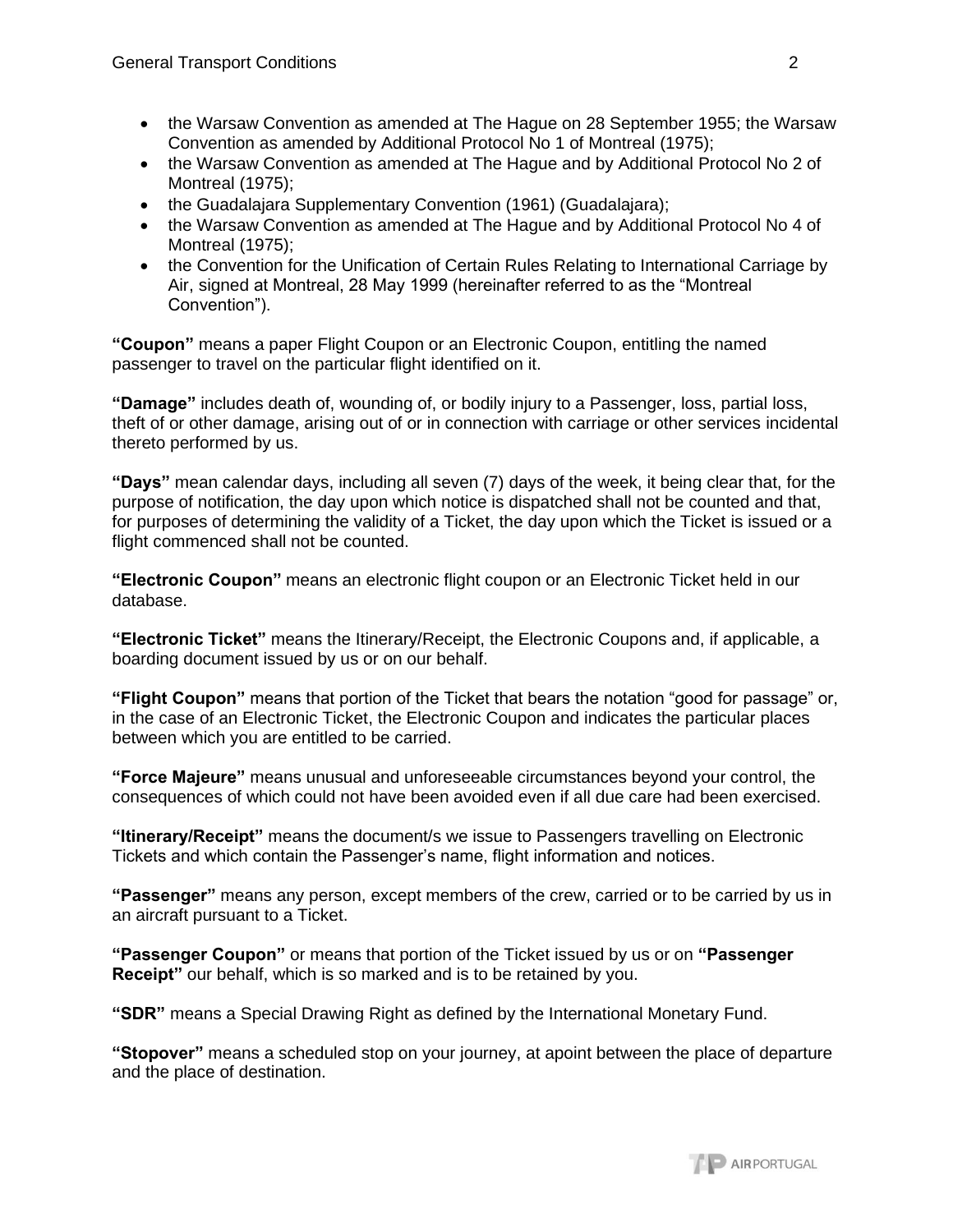- the Warsaw Convention as amended at The Hague on 28 September 1955; the Warsaw Convention as amended by Additional Protocol No 1 of Montreal (1975);
- the Warsaw Convention as amended at The Hague and by Additional Protocol No 2 of Montreal (1975);
- the Guadalajara Supplementary Convention (1961) (Guadalajara);
- the Warsaw Convention as amended at The Hague and by Additional Protocol No 4 of Montreal (1975);
- the Convention for the Unification of Certain Rules Relating to International Carriage by Air, signed at Montreal, 28 May 1999 (hereinafter referred to as the "Montreal Convention").

**"Coupon"** means a paper Flight Coupon or an Electronic Coupon, entitling the named passenger to travel on the particular flight identified on it.

**"Damage"** includes death of, wounding of, or bodily injury to a Passenger, loss, partial loss, theft of or other damage, arising out of or in connection with carriage or other services incidental thereto performed by us.

**"Days"** mean calendar days, including all seven (7) days of the week, it being clear that, for the purpose of notification, the day upon which notice is dispatched shall not be counted and that, for purposes of determining the validity of a Ticket, the day upon which the Ticket is issued or a flight commenced shall not be counted.

**"Electronic Coupon"** means an electronic flight coupon or an Electronic Ticket held in our database.

**"Electronic Ticket"** means the Itinerary/Receipt, the Electronic Coupons and, if applicable, a boarding document issued by us or on our behalf.

**"Flight Coupon"** means that portion of the Ticket that bears the notation "good for passage" or, in the case of an Electronic Ticket, the Electronic Coupon and indicates the particular places between which you are entitled to be carried.

**"Force Majeure"** means unusual and unforeseeable circumstances beyond your control, the consequences of which could not have been avoided even if all due care had been exercised.

**"Itinerary/Receipt"** means the document/s we issue to Passengers travelling on Electronic Tickets and which contain the Passenger's name, flight information and notices.

**"Passenger"** means any person, except members of the crew, carried or to be carried by us in an aircraft pursuant to a Ticket.

**"Passenger Coupon"** or means that portion of the Ticket issued by us or on **"Passenger Receipt"** our behalf, which is so marked and is to be retained by you.

**"SDR"** means a Special Drawing Right as defined by the International Monetary Fund.

**"Stopover"** means a scheduled stop on your journey, at apoint between the place of departure and the place of destination.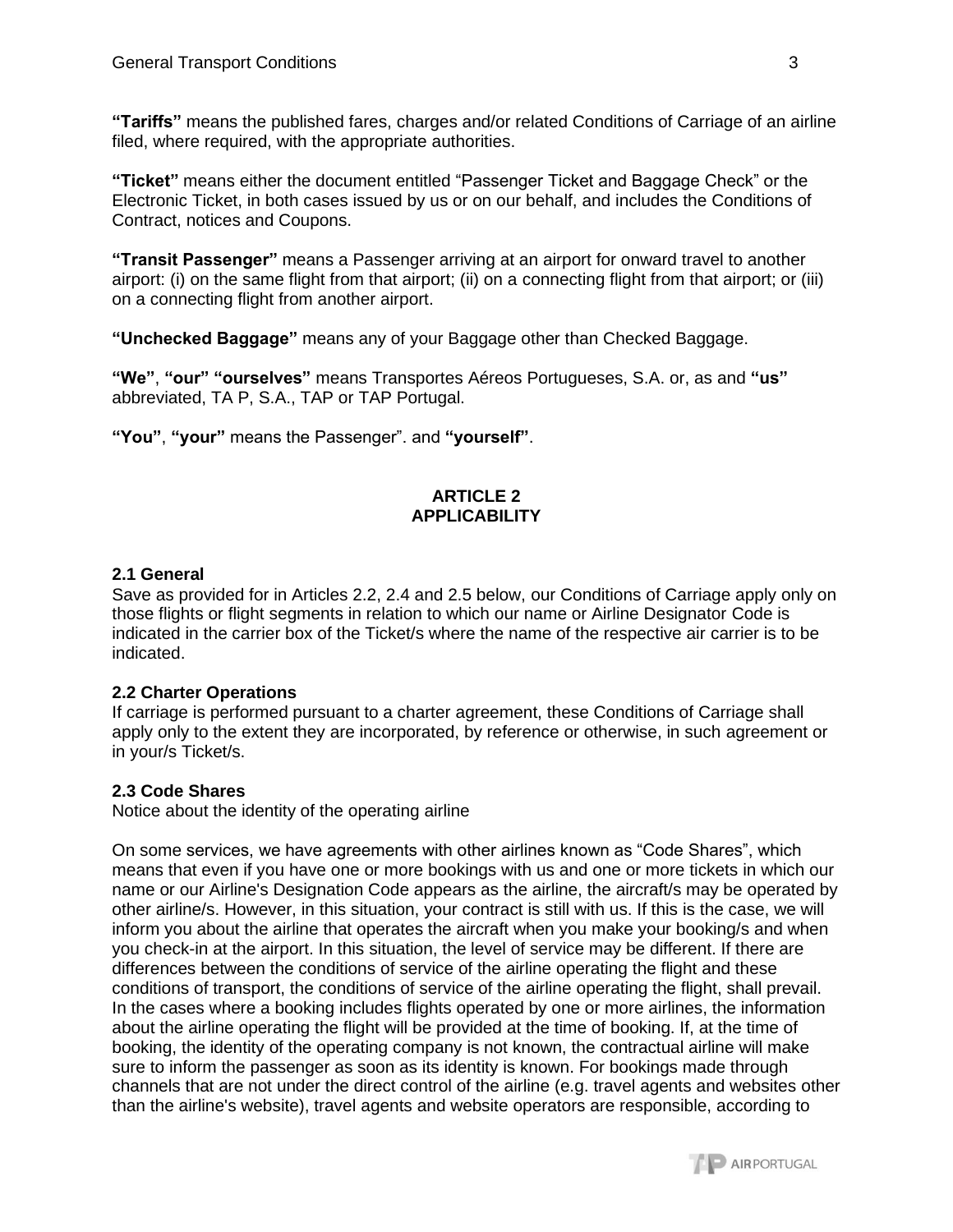**"Tariffs"** means the published fares, charges and/or related Conditions of Carriage of an airline filed, where required, with the appropriate authorities.

**"Ticket"** means either the document entitled "Passenger Ticket and Baggage Check" or the Electronic Ticket, in both cases issued by us or on our behalf, and includes the Conditions of Contract, notices and Coupons.

**"Transit Passenger"** means a Passenger arriving at an airport for onward travel to another airport: (i) on the same flight from that airport; (ii) on a connecting flight from that airport; or (iii) on a connecting flight from another airport.

**"Unchecked Baggage"** means any of your Baggage other than Checked Baggage.

**"We"**, **"our" "ourselves"** means Transportes Aéreos Portugueses, S.A. or, as and **"us"** abbreviated, TA P, S.A., TAP or TAP Portugal.

**"You"**, **"your"** means the Passenger". and **"yourself"**.

### **ARTICLE 2 APPLICABILITY**

### **2.1 General**

Save as provided for in Articles 2.2, 2.4 and 2.5 below, our Conditions of Carriage apply only on those flights or flight segments in relation to which our name or Airline Designator Code is indicated in the carrier box of the Ticket/s where the name of the respective air carrier is to be indicated.

### **2.2 Charter Operations**

If carriage is performed pursuant to a charter agreement, these Conditions of Carriage shall apply only to the extent they are incorporated, by reference or otherwise, in such agreement or in your/s Ticket/s.

### **2.3 Code Shares**

Notice about the identity of the operating airline

On some services, we have agreements with other airlines known as "Code Shares", which means that even if you have one or more bookings with us and one or more tickets in which our name or our Airline's Designation Code appears as the airline, the aircraft/s may be operated by other airline/s. However, in this situation, your contract is still with us. If this is the case, we will inform you about the airline that operates the aircraft when you make your booking/s and when you check-in at the airport. In this situation, the level of service may be different. If there are differences between the conditions of service of the airline operating the flight and these conditions of transport, the conditions of service of the airline operating the flight, shall prevail. In the cases where a booking includes flights operated by one or more airlines, the information about the airline operating the flight will be provided at the time of booking. If, at the time of booking, the identity of the operating company is not known, the contractual airline will make sure to inform the passenger as soon as its identity is known. For bookings made through channels that are not under the direct control of the airline (e.g. travel agents and websites other than the airline's website), travel agents and website operators are responsible, according to

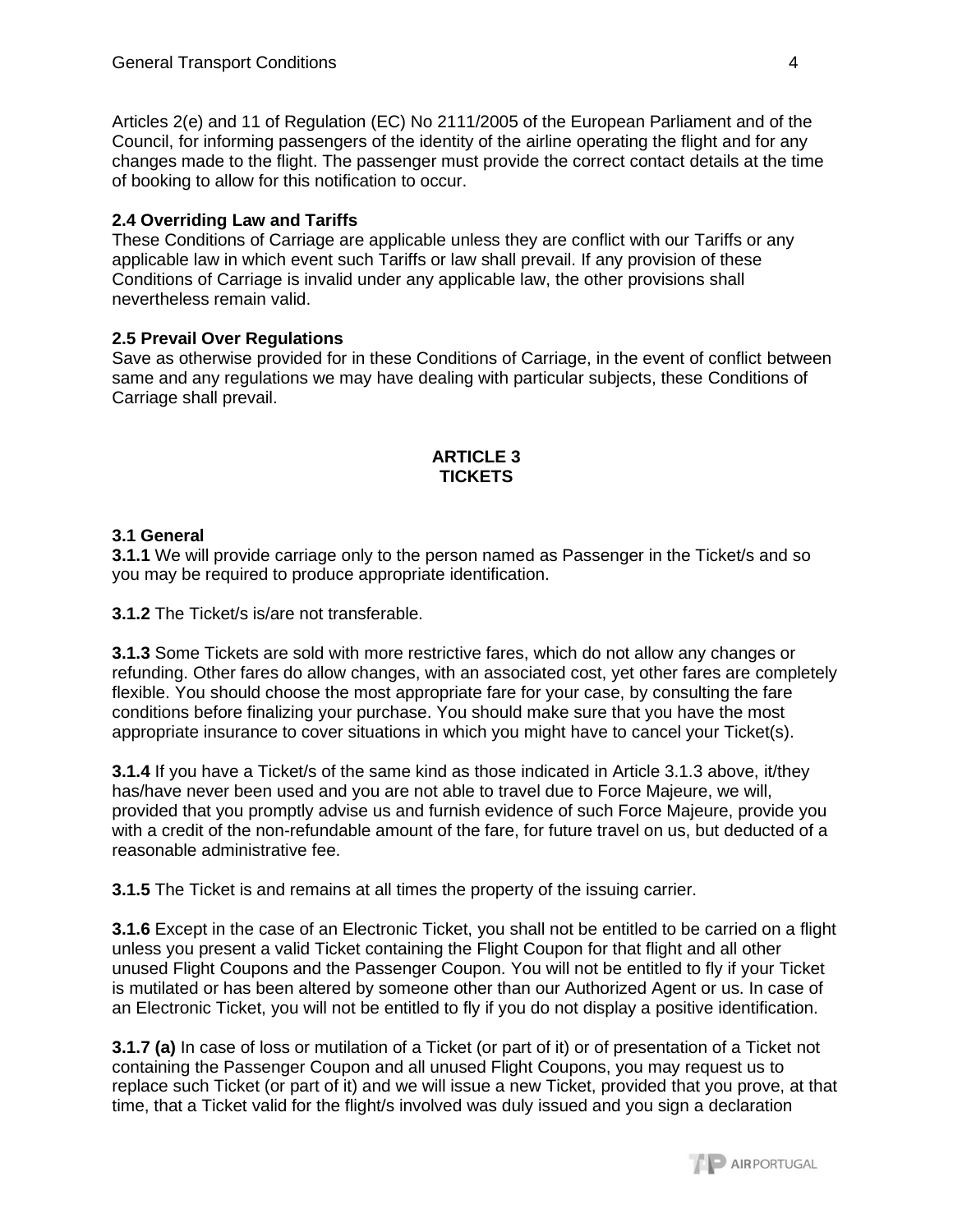Articles 2(e) and 11 of Regulation (EC) No 2111/2005 of the European Parliament and of the Council, for informing passengers of the identity of the airline operating the flight and for any changes made to the flight. The passenger must provide the correct contact details at the time of booking to allow for this notification to occur.

## **2.4 Overriding Law and Tariffs**

These Conditions of Carriage are applicable unless they are conflict with our Tariffs or any applicable law in which event such Tariffs or law shall prevail. If any provision of these Conditions of Carriage is invalid under any applicable law, the other provisions shall nevertheless remain valid.

## **2.5 Prevail Over Regulations**

Save as otherwise provided for in these Conditions of Carriage, in the event of conflict between same and any regulations we may have dealing with particular subjects, these Conditions of Carriage shall prevail.

#### **ARTICLE 3 TICKETS**

## **3.1 General**

**3.1.1** We will provide carriage only to the person named as Passenger in the Ticket/s and so you may be required to produce appropriate identification.

**3.1.2** The Ticket/s is/are not transferable.

**3.1.3** Some Tickets are sold with more restrictive fares, which do not allow any changes or refunding. Other fares do allow changes, with an associated cost, yet other fares are completely flexible. You should choose the most appropriate fare for your case, by consulting the fare conditions before finalizing your purchase. You should make sure that you have the most appropriate insurance to cover situations in which you might have to cancel your Ticket(s).

**3.1.4** If you have a Ticket/s of the same kind as those indicated in Article 3.1.3 above, it/they has/have never been used and you are not able to travel due to Force Majeure, we will, provided that you promptly advise us and furnish evidence of such Force Majeure, provide you with a credit of the non-refundable amount of the fare, for future travel on us, but deducted of a reasonable administrative fee.

**3.1.5** The Ticket is and remains at all times the property of the issuing carrier.

**3.1.6** Except in the case of an Electronic Ticket, you shall not be entitled to be carried on a flight unless you present a valid Ticket containing the Flight Coupon for that flight and all other unused Flight Coupons and the Passenger Coupon. You will not be entitled to fly if your Ticket is mutilated or has been altered by someone other than our Authorized Agent or us. In case of an Electronic Ticket, you will not be entitled to fly if you do not display a positive identification.

**3.1.7 (a)** In case of loss or mutilation of a Ticket (or part of it) or of presentation of a Ticket not containing the Passenger Coupon and all unused Flight Coupons, you may request us to replace such Ticket (or part of it) and we will issue a new Ticket, provided that you prove, at that time, that a Ticket valid for the flight/s involved was duly issued and you sign a declaration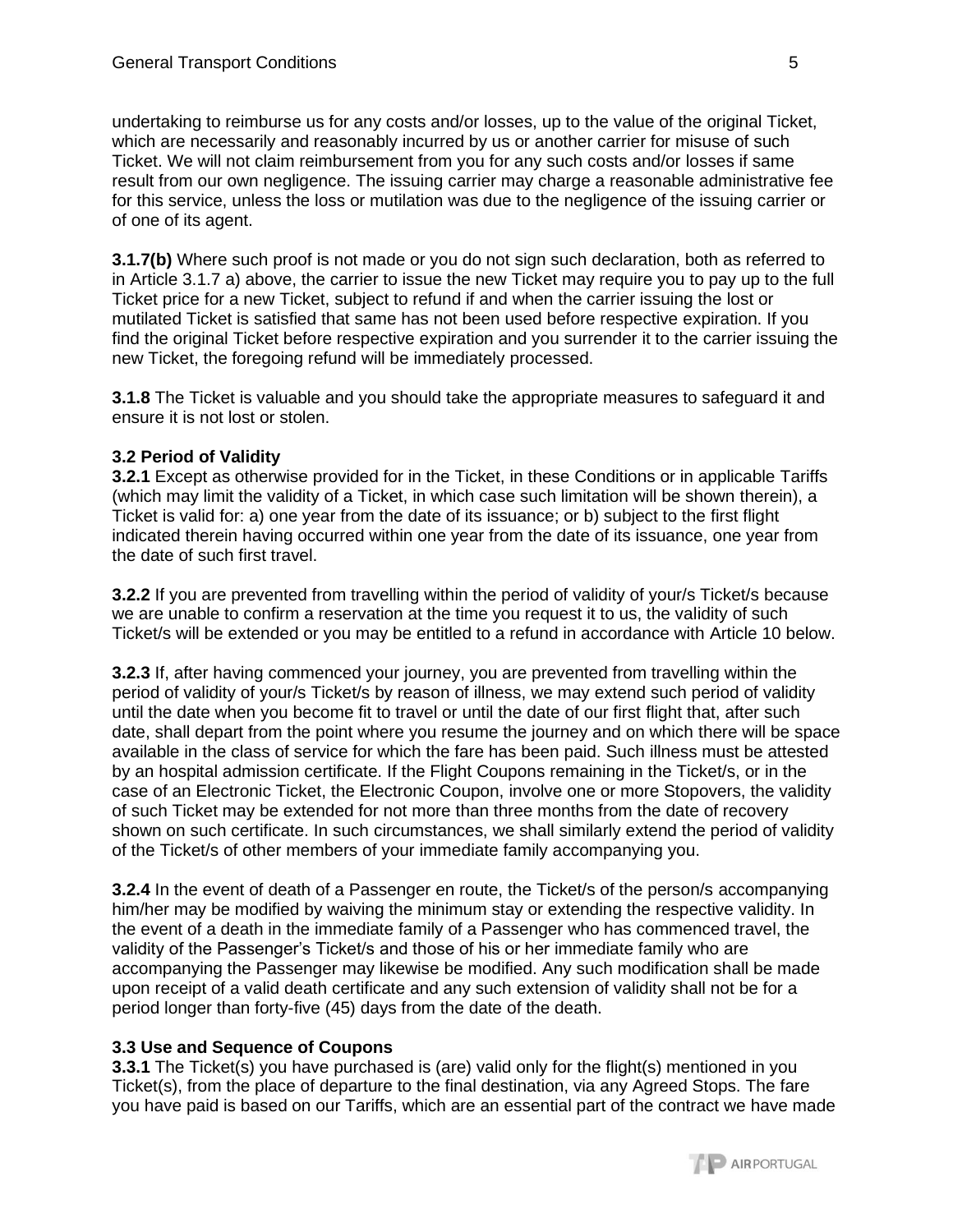undertaking to reimburse us for any costs and/or losses, up to the value of the original Ticket, which are necessarily and reasonably incurred by us or another carrier for misuse of such Ticket. We will not claim reimbursement from you for any such costs and/or losses if same result from our own negligence. The issuing carrier may charge a reasonable administrative fee for this service, unless the loss or mutilation was due to the negligence of the issuing carrier or of one of its agent.

**3.1.7(b)** Where such proof is not made or you do not sign such declaration, both as referred to in Article 3.1.7 a) above, the carrier to issue the new Ticket may require you to pay up to the full Ticket price for a new Ticket, subject to refund if and when the carrier issuing the lost or mutilated Ticket is satisfied that same has not been used before respective expiration. If you find the original Ticket before respective expiration and you surrender it to the carrier issuing the new Ticket, the foregoing refund will be immediately processed.

**3.1.8** The Ticket is valuable and you should take the appropriate measures to safeguard it and ensure it is not lost or stolen.

## **3.2 Period of Validity**

**3.2.1** Except as otherwise provided for in the Ticket, in these Conditions or in applicable Tariffs (which may limit the validity of a Ticket, in which case such limitation will be shown therein), a Ticket is valid for: a) one year from the date of its issuance; or b) subject to the first flight indicated therein having occurred within one year from the date of its issuance, one year from the date of such first travel.

**3.2.2** If you are prevented from travelling within the period of validity of your/s Ticket/s because we are unable to confirm a reservation at the time you request it to us, the validity of such Ticket/s will be extended or you may be entitled to a refund in accordance with Article 10 below.

**3.2.3** If, after having commenced your journey, you are prevented from travelling within the period of validity of your/s Ticket/s by reason of illness, we may extend such period of validity until the date when you become fit to travel or until the date of our first flight that, after such date, shall depart from the point where you resume the journey and on which there will be space available in the class of service for which the fare has been paid. Such illness must be attested by an hospital admission certificate. If the Flight Coupons remaining in the Ticket/s, or in the case of an Electronic Ticket, the Electronic Coupon, involve one or more Stopovers, the validity of such Ticket may be extended for not more than three months from the date of recovery shown on such certificate. In such circumstances, we shall similarly extend the period of validity of the Ticket/s of other members of your immediate family accompanying you.

**3.2.4** In the event of death of a Passenger en route, the Ticket/s of the person/s accompanying him/her may be modified by waiving the minimum stay or extending the respective validity. In the event of a death in the immediate family of a Passenger who has commenced travel, the validity of the Passenger's Ticket/s and those of his or her immediate family who are accompanying the Passenger may likewise be modified. Any such modification shall be made upon receipt of a valid death certificate and any such extension of validity shall not be for a period longer than forty-five (45) days from the date of the death.

### **3.3 Use and Sequence of Coupons**

**3.3.1** The Ticket(s) you have purchased is (are) valid only for the flight(s) mentioned in you Ticket(s), from the place of departure to the final destination, via any Agreed Stops. The fare you have paid is based on our Tariffs, which are an essential part of the contract we have made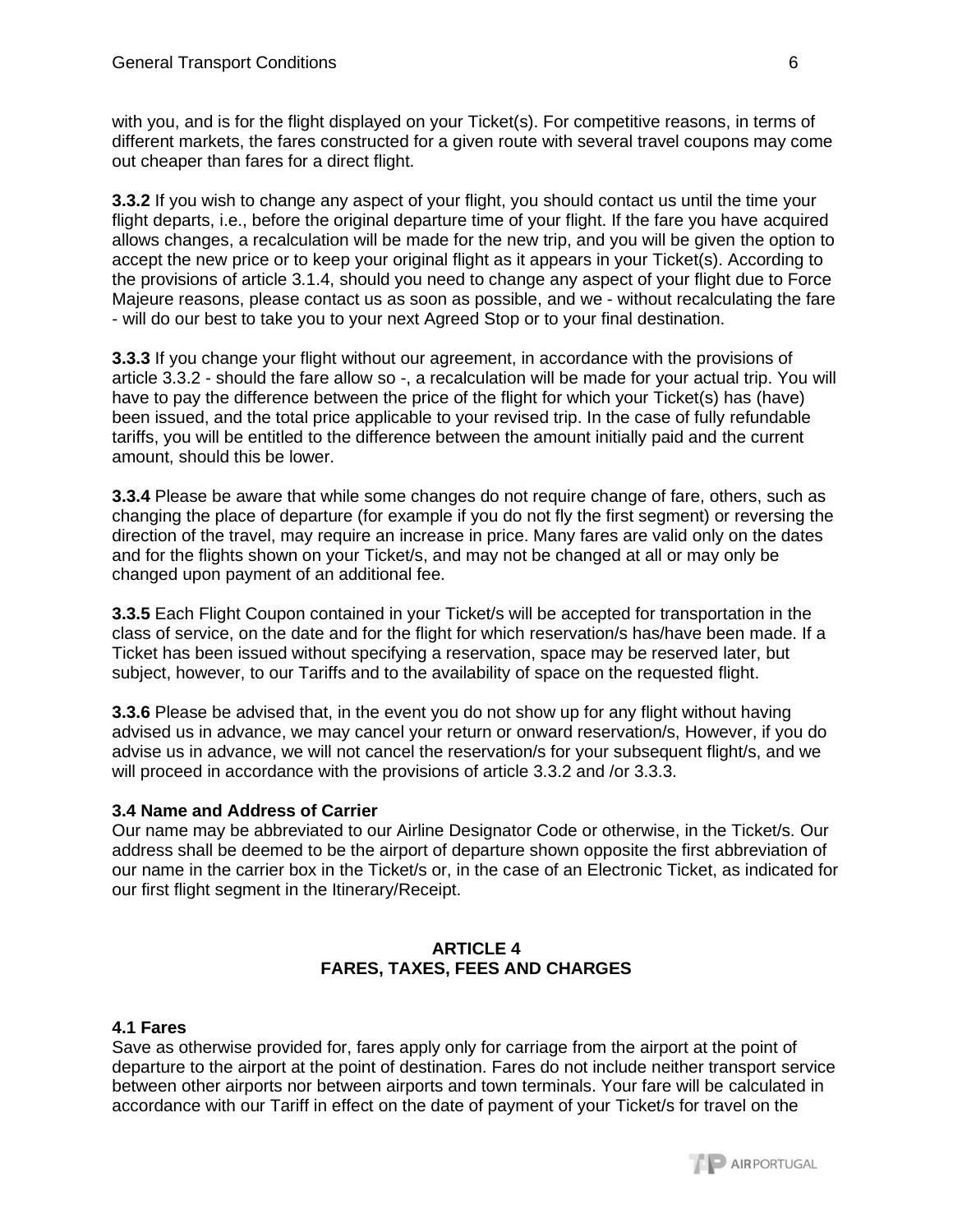with you, and is for the flight displayed on your Ticket(s). For competitive reasons, in terms of different markets, the fares constructed for a given route with several travel coupons may come out cheaper than fares for a direct flight.

**3.3.2** If you wish to change any aspect of your flight, you should contact us until the time your flight departs, i.e., before the original departure time of your flight. If the fare you have acquired allows changes, a recalculation will be made for the new trip, and you will be given the option to accept the new price or to keep your original flight as it appears in your Ticket(s). According to the provisions of article 3.1.4, should you need to change any aspect of your flight due to Force Majeure reasons, please contact us as soon as possible, and we - without recalculating the fare - will do our best to take you to your next Agreed Stop or to your final destination.

**3.3.3** If you change your flight without our agreement, in accordance with the provisions of article 3.3.2 - should the fare allow so -, a recalculation will be made for your actual trip. You will have to pay the difference between the price of the flight for which your Ticket(s) has (have) been issued, and the total price applicable to your revised trip. In the case of fully refundable tariffs, you will be entitled to the difference between the amount initially paid and the current amount, should this be lower.

**3.3.4** Please be aware that while some changes do not require change of fare, others, such as changing the place of departure (for example if you do not fly the first segment) or reversing the direction of the travel, may require an increase in price. Many fares are valid only on the dates and for the flights shown on your Ticket/s, and may not be changed at all or may only be changed upon payment of an additional fee.

**3.3.5** Each Flight Coupon contained in your Ticket/s will be accepted for transportation in the class of service, on the date and for the flight for which reservation/s has/have been made. If a Ticket has been issued without specifying a reservation, space may be reserved later, but subject, however, to our Tariffs and to the availability of space on the requested flight.

**3.3.6** Please be advised that, in the event you do not show up for any flight without having advised us in advance, we may cancel your return or onward reservation/s, However, if you do advise us in advance, we will not cancel the reservation/s for your subsequent flight/s, and we will proceed in accordance with the provisions of article 3.3.2 and /or 3.3.3.

### **3.4 Name and Address of Carrier**

Our name may be abbreviated to our Airline Designator Code or otherwise, in the Ticket/s. Our address shall be deemed to be the airport of departure shown opposite the first abbreviation of our name in the carrier box in the Ticket/s or, in the case of an Electronic Ticket, as indicated for our first flight segment in the Itinerary/Receipt.

## **ARTICLE 4 FARES, TAXES, FEES AND CHARGES**

### **4.1 Fares**

Save as otherwise provided for, fares apply only for carriage from the airport at the point of departure to the airport at the point of destination. Fares do not include neither transport service between other airports nor between airports and town terminals. Your fare will be calculated in accordance with our Tariff in effect on the date of payment of your Ticket/s for travel on the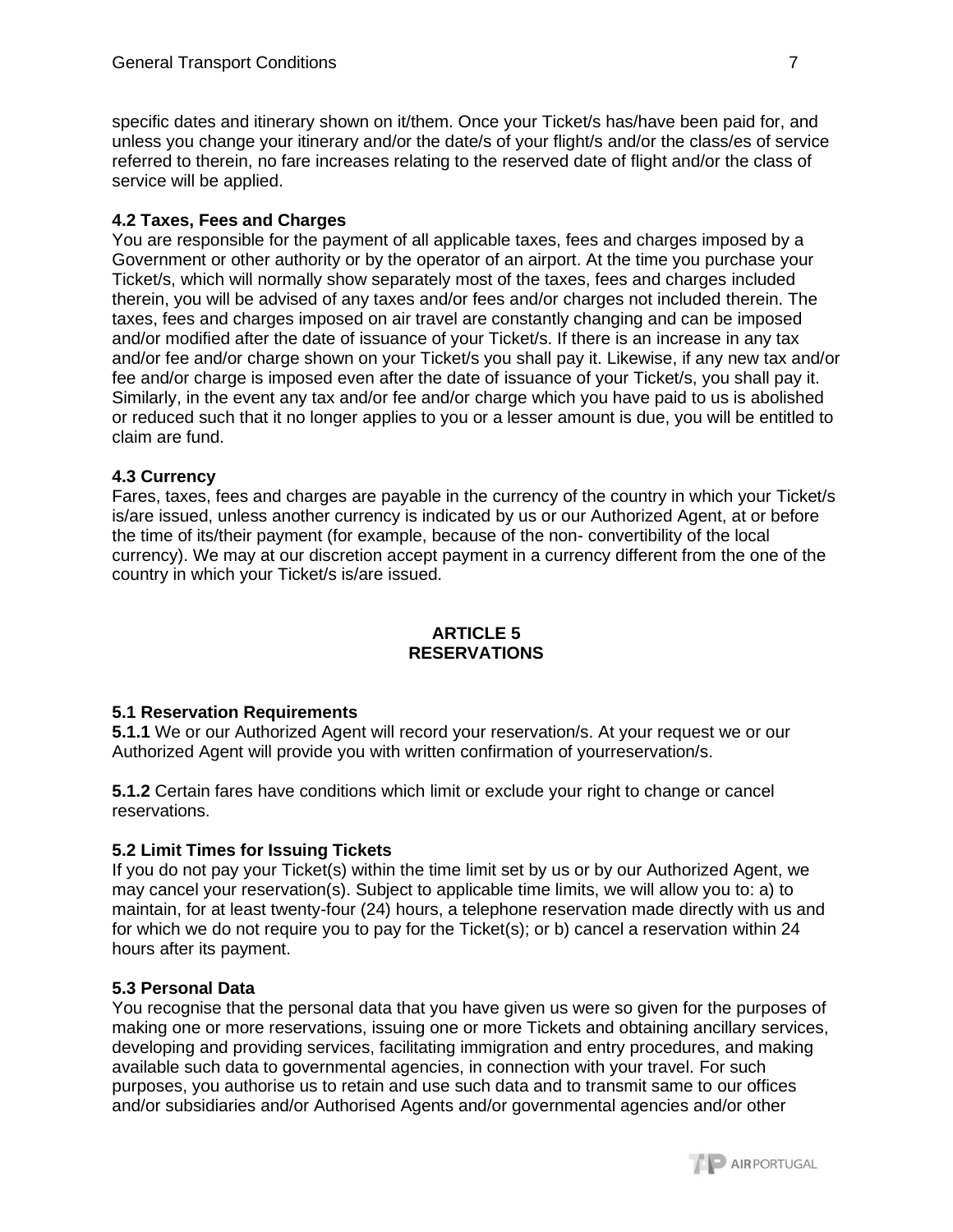specific dates and itinerary shown on it/them. Once your Ticket/s has/have been paid for, and unless you change your itinerary and/or the date/s of your flight/s and/or the class/es of service referred to therein, no fare increases relating to the reserved date of flight and/or the class of service will be applied.

## **4.2 Taxes, Fees and Charges**

You are responsible for the payment of all applicable taxes, fees and charges imposed by a Government or other authority or by the operator of an airport. At the time you purchase your Ticket/s, which will normally show separately most of the taxes, fees and charges included therein, you will be advised of any taxes and/or fees and/or charges not included therein. The taxes, fees and charges imposed on air travel are constantly changing and can be imposed and/or modified after the date of issuance of your Ticket/s. If there is an increase in any tax and/or fee and/or charge shown on your Ticket/s you shall pay it. Likewise, if any new tax and/or fee and/or charge is imposed even after the date of issuance of your Ticket/s, you shall pay it. Similarly, in the event any tax and/or fee and/or charge which you have paid to us is abolished or reduced such that it no longer applies to you or a lesser amount is due, you will be entitled to claim are fund.

### **4.3 Currency**

Fares, taxes, fees and charges are payable in the currency of the country in which your Ticket/s is/are issued, unless another currency is indicated by us or our Authorized Agent, at or before the time of its/their payment (for example, because of the non- convertibility of the local currency). We may at our discretion accept payment in a currency different from the one of the country in which your Ticket/s is/are issued.

### **ARTICLE 5 RESERVATIONS**

### **5.1 Reservation Requirements**

**5.1.1** We or our Authorized Agent will record your reservation/s. At your request we or our Authorized Agent will provide you with written confirmation of yourreservation/s.

**5.1.2** Certain fares have conditions which limit or exclude your right to change or cancel reservations.

### **5.2 Limit Times for Issuing Tickets**

If you do not pay your Ticket(s) within the time limit set by us or by our Authorized Agent, we may cancel your reservation(s). Subject to applicable time limits, we will allow you to: a) to maintain, for at least twenty-four (24) hours, a telephone reservation made directly with us and for which we do not require you to pay for the Ticket(s); or b) cancel a reservation within 24 hours after its payment.

### **5.3 Personal Data**

You recognise that the personal data that you have given us were so given for the purposes of making one or more reservations, issuing one or more Tickets and obtaining ancillary services, developing and providing services, facilitating immigration and entry procedures, and making available such data to governmental agencies, in connection with your travel. For such purposes, you authorise us to retain and use such data and to transmit same to our offices and/or subsidiaries and/or Authorised Agents and/or governmental agencies and/or other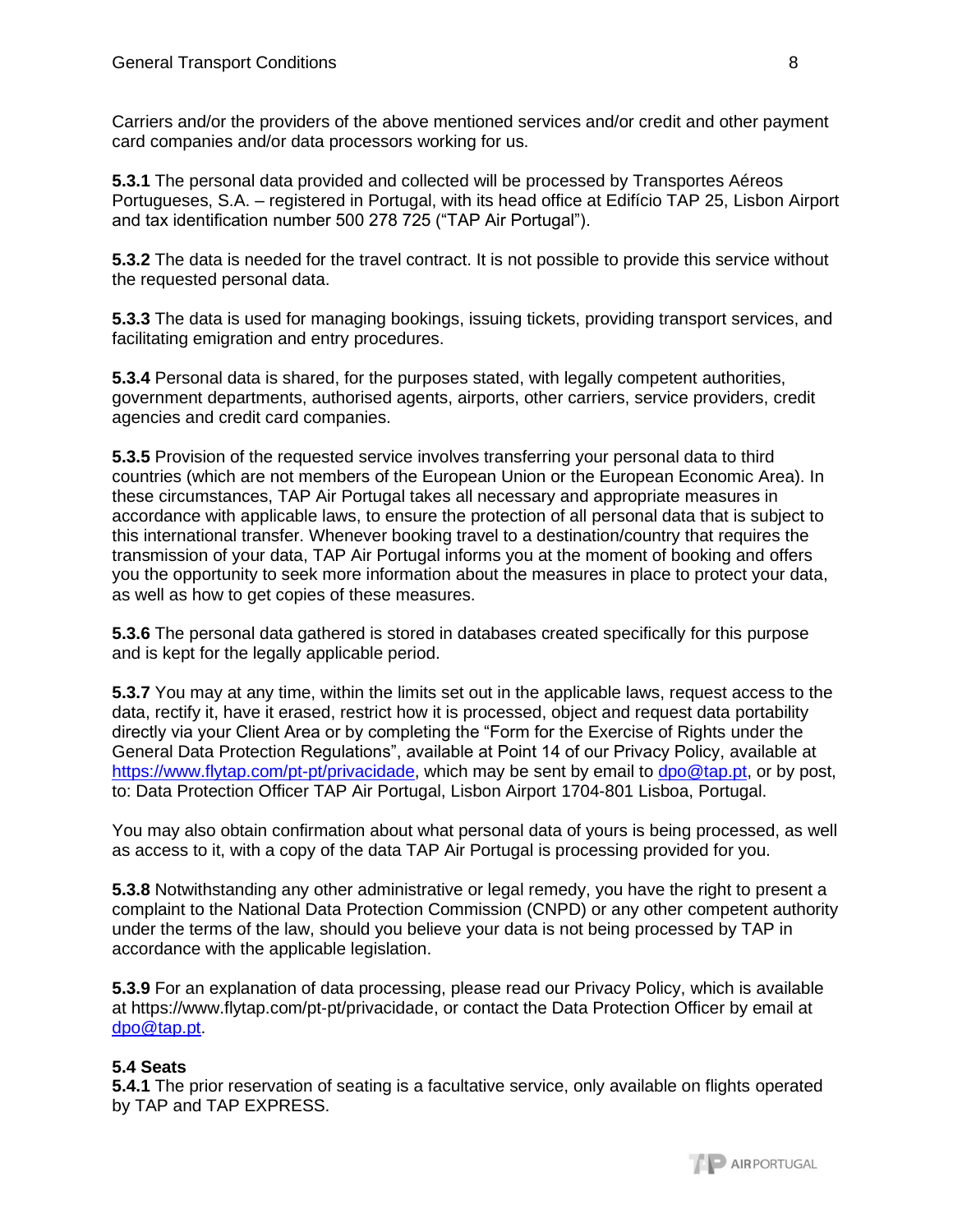Carriers and/or the providers of the above mentioned services and/or credit and other payment card companies and/or data processors working for us.

**5.3.1** The personal data provided and collected will be processed by Transportes Aéreos Portugueses, S.A. – registered in Portugal, with its head office at Edifício TAP 25, Lisbon Airport and tax identification number 500 278 725 ("TAP Air Portugal").

**5.3.2** The data is needed for the travel contract. It is not possible to provide this service without the requested personal data.

**5.3.3** The data is used for managing bookings, issuing tickets, providing transport services, and facilitating emigration and entry procedures.

**5.3.4** Personal data is shared, for the purposes stated, with legally competent authorities, government departments, authorised agents, airports, other carriers, service providers, credit agencies and credit card companies.

**5.3.5** Provision of the requested service involves transferring your personal data to third countries (which are not members of the European Union or the European Economic Area). In these circumstances, TAP Air Portugal takes all necessary and appropriate measures in accordance with applicable laws, to ensure the protection of all personal data that is subject to this international transfer. Whenever booking travel to a destination/country that requires the transmission of your data, TAP Air Portugal informs you at the moment of booking and offers you the opportunity to seek more information about the measures in place to protect your data, as well as how to get copies of these measures.

**5.3.6** The personal data gathered is stored in databases created specifically for this purpose and is kept for the legally applicable period.

**5.3.7** You may at any time, within the limits set out in the applicable laws, request access to the data, rectify it, have it erased, restrict how it is processed, object and request data portability directly via your Client Area or by completing the "Form for the Exercise of Rights under the General Data Protection Regulations", available at Point 14 of our Privacy Policy, available at [https://www.flytap.com/pt-pt/privacidade,](https://www.flytap.com/pt-pt/privacidade) which may be sent by email to [dpo@tap.pt,](mailto:dpo@tap.pt) or by post, to: Data Protection Officer TAP Air Portugal, Lisbon Airport 1704-801 Lisboa, Portugal.

You may also obtain confirmation about what personal data of yours is being processed, as well as access to it, with a copy of the data TAP Air Portugal is processing provided for you.

**5.3.8** Notwithstanding any other administrative or legal remedy, you have the right to present a complaint to the National Data Protection Commission (CNPD) or any other competent authority under the terms of the law, should you believe your data is not being processed by TAP in accordance with the applicable legislation.

**5.3.9** For an explanation of data processing, please read our Privacy Policy, which is available at https://www.flytap.com/pt-pt/privacidade, or contact the Data Protection Officer by email at [dpo@tap.pt.](mailto:dpo@tap.pt)

# **5.4 Seats**

**5.4.1** The prior reservation of seating is a facultative service, only available on flights operated by TAP and TAP EXPRESS.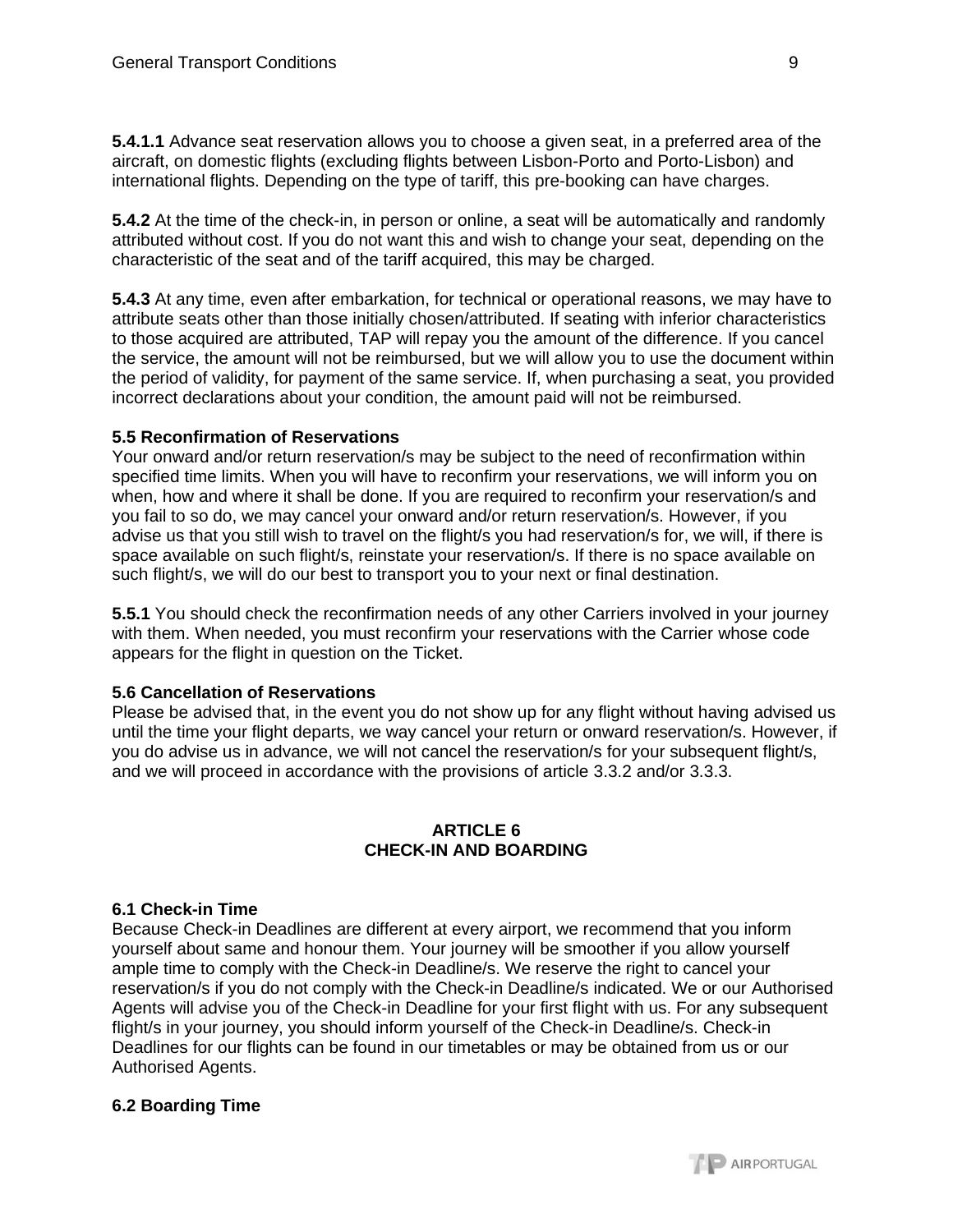**5.4.1.1** Advance seat reservation allows you to choose a given seat, in a preferred area of the aircraft, on domestic flights (excluding flights between Lisbon-Porto and Porto-Lisbon) and international flights. Depending on the type of tariff, this pre-booking can have charges.

**5.4.2** At the time of the check-in, in person or online, a seat will be automatically and randomly attributed without cost. If you do not want this and wish to change your seat, depending on the characteristic of the seat and of the tariff acquired, this may be charged.

**5.4.3** At any time, even after embarkation, for technical or operational reasons, we may have to attribute seats other than those initially chosen/attributed. If seating with inferior characteristics to those acquired are attributed, TAP will repay you the amount of the difference. If you cancel the service, the amount will not be reimbursed, but we will allow you to use the document within the period of validity, for payment of the same service. If, when purchasing a seat, you provided incorrect declarations about your condition, the amount paid will not be reimbursed.

## **5.5 Reconfirmation of Reservations**

Your onward and/or return reservation/s may be subject to the need of reconfirmation within specified time limits. When you will have to reconfirm your reservations, we will inform you on when, how and where it shall be done. If you are required to reconfirm your reservation/s and you fail to so do, we may cancel your onward and/or return reservation/s. However, if you advise us that you still wish to travel on the flight/s you had reservation/s for, we will, if there is space available on such flight/s, reinstate your reservation/s. If there is no space available on such flight/s, we will do our best to transport you to your next or final destination.

**5.5.1** You should check the reconfirmation needs of any other Carriers involved in your journey with them. When needed, you must reconfirm your reservations with the Carrier whose code appears for the flight in question on the Ticket.

### **5.6 Cancellation of Reservations**

Please be advised that, in the event you do not show up for any flight without having advised us until the time your flight departs, we way cancel your return or onward reservation/s. However, if you do advise us in advance, we will not cancel the reservation/s for your subsequent flight/s, and we will proceed in accordance with the provisions of article 3.3.2 and/or 3.3.3.

## **ARTICLE 6 CHECK-IN AND BOARDING**

# **6.1 Check-in Time**

Because Check-in Deadlines are different at every airport, we recommend that you inform yourself about same and honour them. Your journey will be smoother if you allow yourself ample time to comply with the Check-in Deadline/s. We reserve the right to cancel your reservation/s if you do not comply with the Check-in Deadline/s indicated. We or our Authorised Agents will advise you of the Check-in Deadline for your first flight with us. For any subsequent flight/s in your journey, you should inform yourself of the Check-in Deadline/s. Check-in Deadlines for our flights can be found in our timetables or may be obtained from us or our Authorised Agents.

### **6.2 Boarding Time**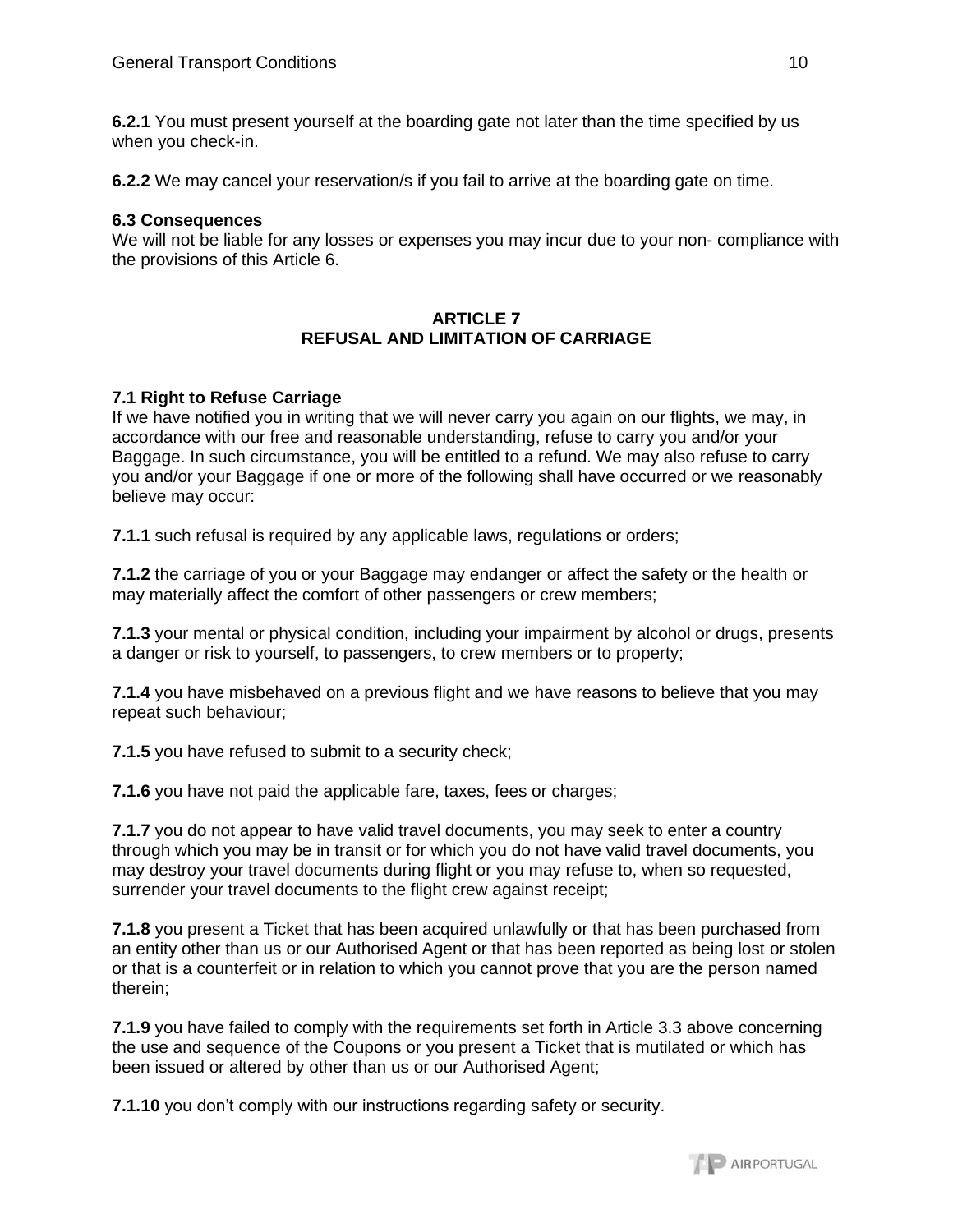**6.2.1** You must present yourself at the boarding gate not later than the time specified by us when you check-in.

**6.2.2** We may cancel your reservation/s if you fail to arrive at the boarding gate on time.

#### **6.3 Consequences**

We will not be liable for any losses or expenses you may incur due to your non- compliance with the provisions of this Article 6.

#### **ARTICLE 7 REFUSAL AND LIMITATION OF CARRIAGE**

### **7.1 Right to Refuse Carriage**

If we have notified you in writing that we will never carry you again on our flights, we may, in accordance with our free and reasonable understanding, refuse to carry you and/or your Baggage. In such circumstance, you will be entitled to a refund. We may also refuse to carry you and/or your Baggage if one or more of the following shall have occurred or we reasonably believe may occur:

**7.1.1** such refusal is required by any applicable laws, regulations or orders;

**7.1.2** the carriage of you or your Baggage may endanger or affect the safety or the health or may materially affect the comfort of other passengers or crew members;

**7.1.3** your mental or physical condition, including your impairment by alcohol or drugs, presents a danger or risk to yourself, to passengers, to crew members or to property;

**7.1.4** you have misbehaved on a previous flight and we have reasons to believe that you may repeat such behaviour;

**7.1.5** you have refused to submit to a security check;

**7.1.6** you have not paid the applicable fare, taxes, fees or charges;

**7.1.7** you do not appear to have valid travel documents, you may seek to enter a country through which you may be in transit or for which you do not have valid travel documents, you may destroy your travel documents during flight or you may refuse to, when so requested, surrender your travel documents to the flight crew against receipt;

**7.1.8** you present a Ticket that has been acquired unlawfully or that has been purchased from an entity other than us or our Authorised Agent or that has been reported as being lost or stolen or that is a counterfeit or in relation to which you cannot prove that you are the person named therein;

**7.1.9** you have failed to comply with the requirements set forth in Article 3.3 above concerning the use and sequence of the Coupons or you present a Ticket that is mutilated or which has been issued or altered by other than us or our Authorised Agent;

**7.1.10** you don't comply with our instructions regarding safety or security.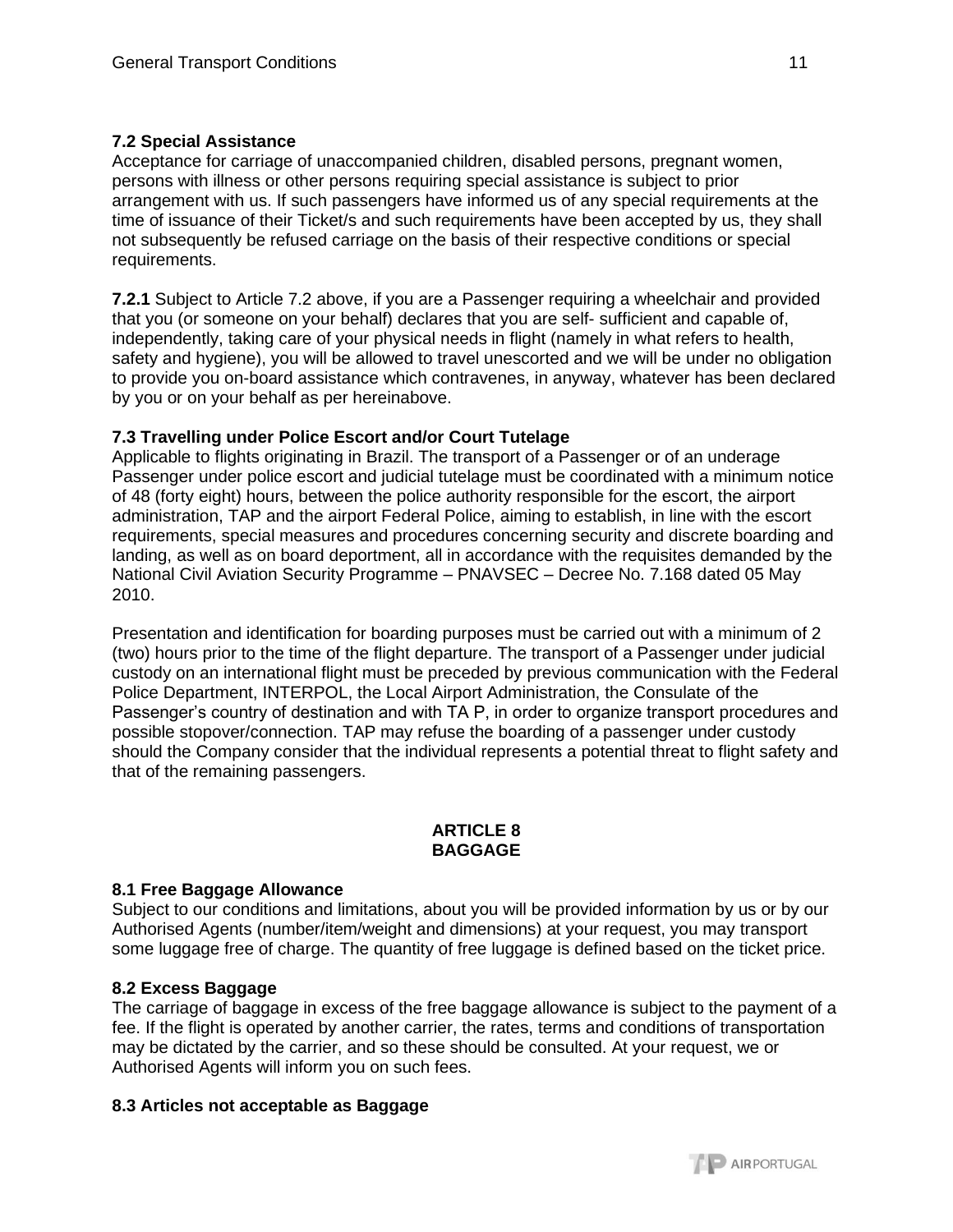# **7.2 Special Assistance**

Acceptance for carriage of unaccompanied children, disabled persons, pregnant women, persons with illness or other persons requiring special assistance is subject to prior arrangement with us. If such passengers have informed us of any special requirements at the time of issuance of their Ticket/s and such requirements have been accepted by us, they shall not subsequently be refused carriage on the basis of their respective conditions or special requirements.

**7.2.1** Subject to Article 7.2 above, if you are a Passenger requiring a wheelchair and provided that you (or someone on your behalf) declares that you are self- sufficient and capable of, independently, taking care of your physical needs in flight (namely in what refers to health, safety and hygiene), you will be allowed to travel unescorted and we will be under no obligation to provide you on-board assistance which contravenes, in anyway, whatever has been declared by you or on your behalf as per hereinabove.

# **7.3 Travelling under Police Escort and/or Court Tutelage**

Applicable to flights originating in Brazil. The transport of a Passenger or of an underage Passenger under police escort and judicial tutelage must be coordinated with a minimum notice of 48 (forty eight) hours, between the police authority responsible for the escort, the airport administration, TAP and the airport Federal Police, aiming to establish, in line with the escort requirements, special measures and procedures concerning security and discrete boarding and landing, as well as on board deportment, all in accordance with the requisites demanded by the National Civil Aviation Security Programme – PNAVSEC – Decree No. 7.168 dated 05 May 2010.

Presentation and identification for boarding purposes must be carried out with a minimum of 2 (two) hours prior to the time of the flight departure. The transport of a Passenger under judicial custody on an international flight must be preceded by previous communication with the Federal Police Department, INTERPOL, the Local Airport Administration, the Consulate of the Passenger's country of destination and with TA P, in order to organize transport procedures and possible stopover/connection. TAP may refuse the boarding of a passenger under custody should the Company consider that the individual represents a potential threat to flight safety and that of the remaining passengers.

## **ARTICLE 8 BAGGAGE**

# **8.1 Free Baggage Allowance**

Subject to our conditions and limitations, about you will be provided information by us or by our Authorised Agents (number/item/weight and dimensions) at your request, you may transport some luggage free of charge. The quantity of free luggage is defined based on the ticket price.

# **8.2 Excess Baggage**

The carriage of baggage in excess of the free baggage allowance is subject to the payment of a fee. If the flight is operated by another carrier, the rates, terms and conditions of transportation may be dictated by the carrier, and so these should be consulted. At your request, we or Authorised Agents will inform you on such fees.

# **8.3 Articles not acceptable as Baggage**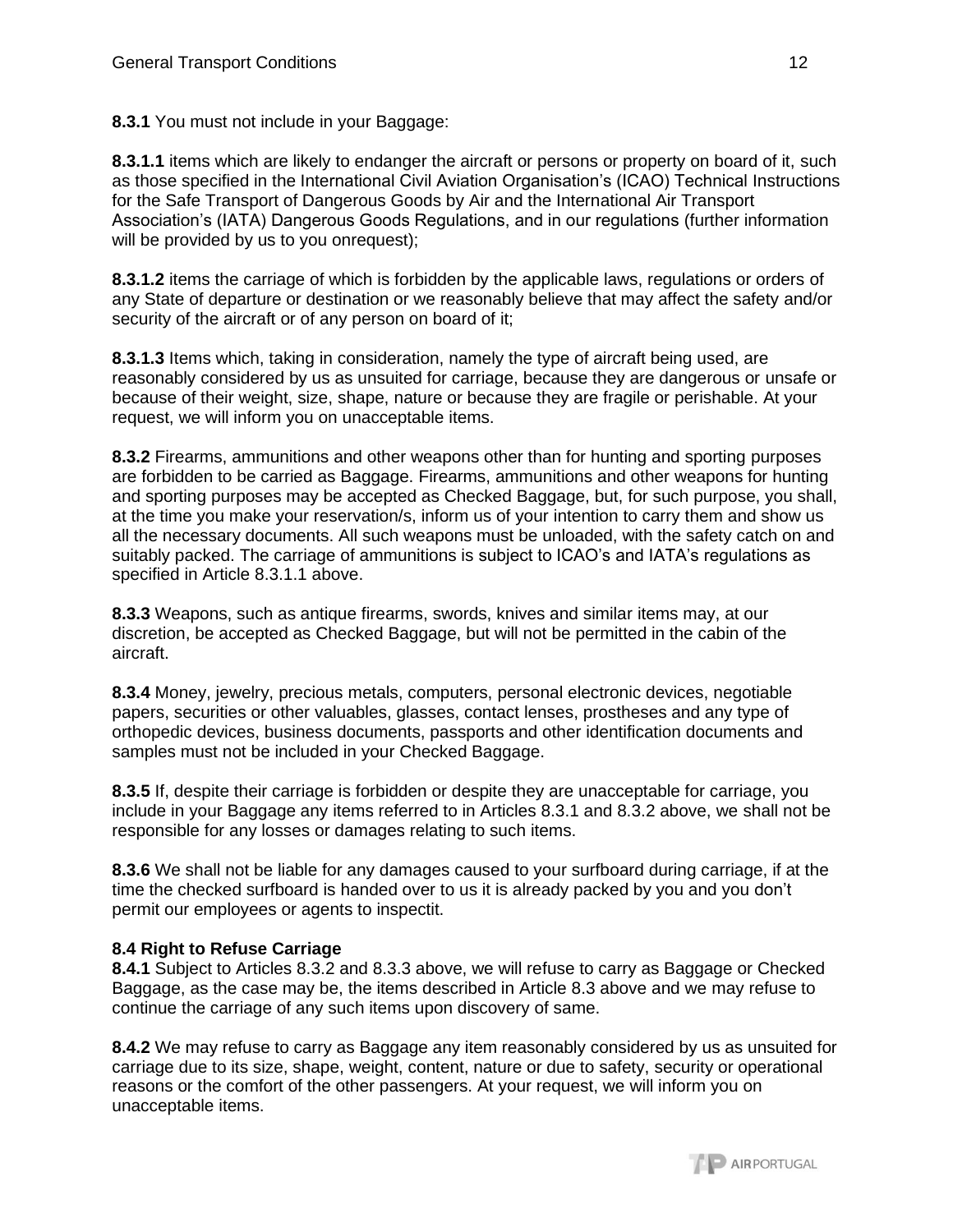**8.3.1** You must not include in your Baggage:

**8.3.1.1** items which are likely to endanger the aircraft or persons or property on board of it, such as those specified in the International Civil Aviation Organisation's (ICAO) Technical Instructions for the Safe Transport of Dangerous Goods by Air and the International Air Transport Association's (IATA) Dangerous Goods Regulations, and in our regulations (further information will be provided by us to you onrequest);

**8.3.1.2** items the carriage of which is forbidden by the applicable laws, regulations or orders of any State of departure or destination or we reasonably believe that may affect the safety and/or security of the aircraft or of any person on board of it;

**8.3.1.3** Items which, taking in consideration, namely the type of aircraft being used, are reasonably considered by us as unsuited for carriage, because they are dangerous or unsafe or because of their weight, size, shape, nature or because they are fragile or perishable. At your request, we will inform you on unacceptable items.

**8.3.2** Firearms, ammunitions and other weapons other than for hunting and sporting purposes are forbidden to be carried as Baggage. Firearms, ammunitions and other weapons for hunting and sporting purposes may be accepted as Checked Baggage, but, for such purpose, you shall, at the time you make your reservation/s, inform us of your intention to carry them and show us all the necessary documents. All such weapons must be unloaded, with the safety catch on and suitably packed. The carriage of ammunitions is subject to ICAO's and IATA's regulations as specified in Article 8.3.1.1 above.

**8.3.3** Weapons, such as antique firearms, swords, knives and similar items may, at our discretion, be accepted as Checked Baggage, but will not be permitted in the cabin of the aircraft.

**8.3.4** Money, jewelry, precious metals, computers, personal electronic devices, negotiable papers, securities or other valuables, glasses, contact lenses, prostheses and any type of orthopedic devices, business documents, passports and other identification documents and samples must not be included in your Checked Baggage.

**8.3.5** If, despite their carriage is forbidden or despite they are unacceptable for carriage, you include in your Baggage any items referred to in Articles 8.3.1 and 8.3.2 above, we shall not be responsible for any losses or damages relating to such items.

**8.3.6** We shall not be liable for any damages caused to your surfboard during carriage, if at the time the checked surfboard is handed over to us it is already packed by you and you don't permit our employees or agents to inspectit.

# **8.4 Right to Refuse Carriage**

**8.4.1** Subject to Articles 8.3.2 and 8.3.3 above, we will refuse to carry as Baggage or Checked Baggage, as the case may be, the items described in Article 8.3 above and we may refuse to continue the carriage of any such items upon discovery of same.

**8.4.2** We may refuse to carry as Baggage any item reasonably considered by us as unsuited for carriage due to its size, shape, weight, content, nature or due to safety, security or operational reasons or the comfort of the other passengers. At your request, we will inform you on unacceptable items.

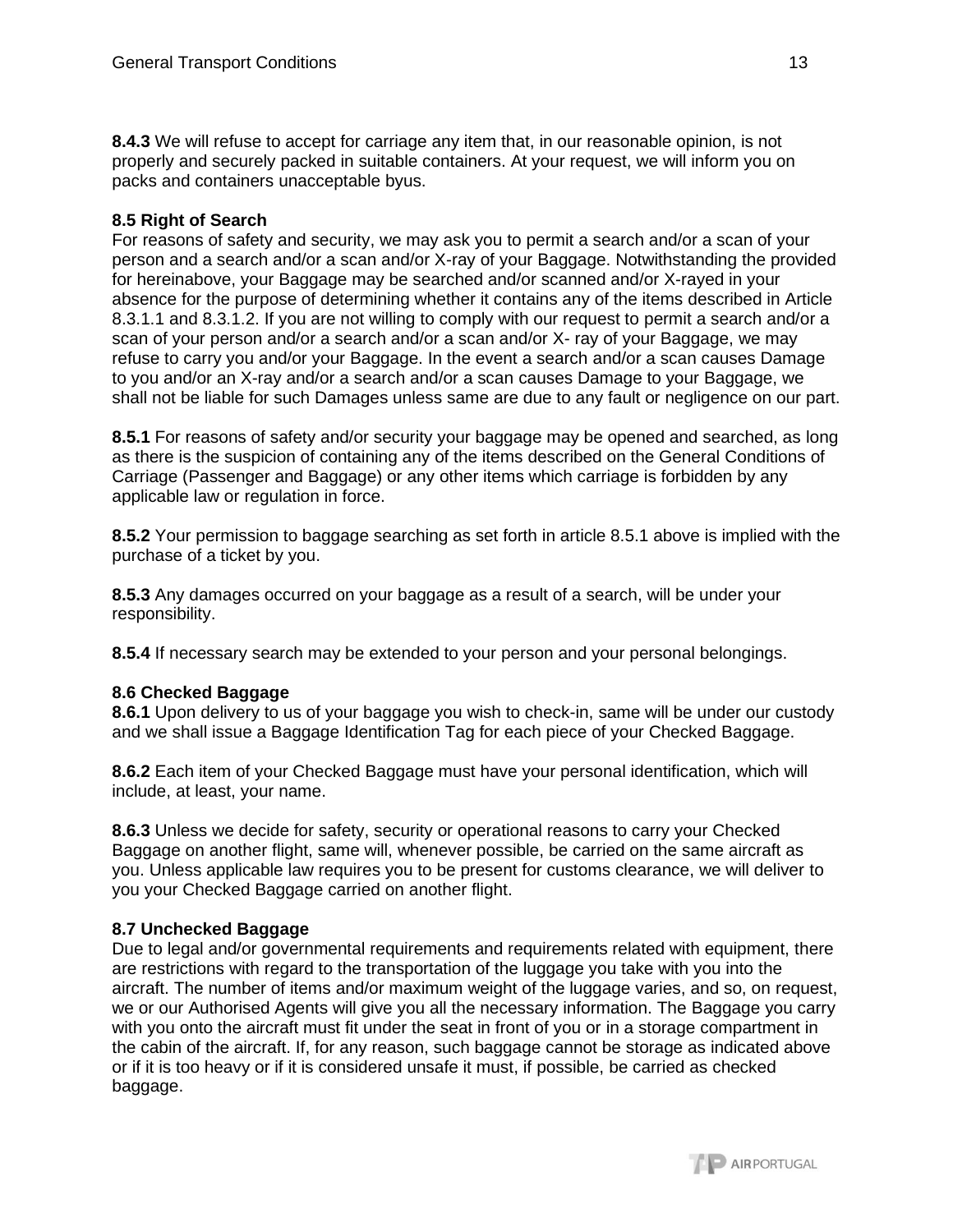**8.4.3** We will refuse to accept for carriage any item that, in our reasonable opinion, is not properly and securely packed in suitable containers. At your request, we will inform you on packs and containers unacceptable byus.

## **8.5 Right of Search**

For reasons of safety and security, we may ask you to permit a search and/or a scan of your person and a search and/or a scan and/or X-ray of your Baggage. Notwithstanding the provided for hereinabove, your Baggage may be searched and/or scanned and/or X-rayed in your absence for the purpose of determining whether it contains any of the items described in Article 8.3.1.1 and 8.3.1.2. If you are not willing to comply with our request to permit a search and/or a scan of your person and/or a search and/or a scan and/or X- ray of your Baggage, we may refuse to carry you and/or your Baggage. In the event a search and/or a scan causes Damage to you and/or an X-ray and/or a search and/or a scan causes Damage to your Baggage, we shall not be liable for such Damages unless same are due to any fault or negligence on our part.

**8.5.1** For reasons of safety and/or security your baggage may be opened and searched, as long as there is the suspicion of containing any of the items described on the General Conditions of Carriage (Passenger and Baggage) or any other items which carriage is forbidden by any applicable law or regulation in force.

**8.5.2** Your permission to baggage searching as set forth in article 8.5.1 above is implied with the purchase of a ticket by you.

**8.5.3** Any damages occurred on your baggage as a result of a search, will be under your responsibility.

**8.5.4** If necessary search may be extended to your person and your personal belongings.

### **8.6 Checked Baggage**

**8.6.1** Upon delivery to us of your baggage you wish to check-in, same will be under our custody and we shall issue a Baggage Identification Tag for each piece of your Checked Baggage.

**8.6.2** Each item of your Checked Baggage must have your personal identification, which will include, at least, your name.

**8.6.3** Unless we decide for safety, security or operational reasons to carry your Checked Baggage on another flight, same will, whenever possible, be carried on the same aircraft as you. Unless applicable law requires you to be present for customs clearance, we will deliver to you your Checked Baggage carried on another flight.

### **8.7 Unchecked Baggage**

Due to legal and/or governmental requirements and requirements related with equipment, there are restrictions with regard to the transportation of the luggage you take with you into the aircraft. The number of items and/or maximum weight of the luggage varies, and so, on request, we or our Authorised Agents will give you all the necessary information. The Baggage you carry with you onto the aircraft must fit under the seat in front of you or in a storage compartment in the cabin of the aircraft. If, for any reason, such baggage cannot be storage as indicated above or if it is too heavy or if it is considered unsafe it must, if possible, be carried as checked baggage.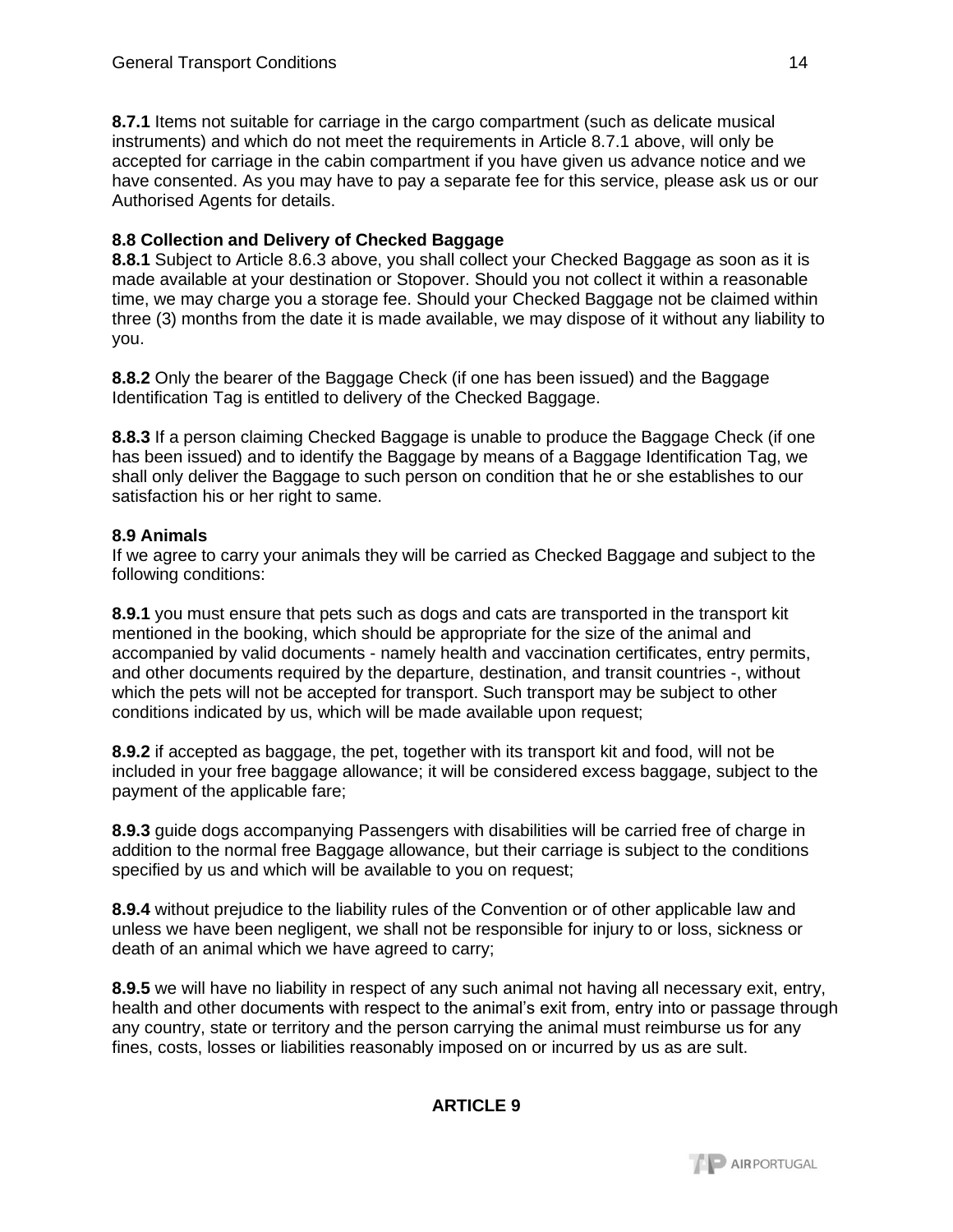**8.7.1** Items not suitable for carriage in the cargo compartment (such as delicate musical instruments) and which do not meet the requirements in Article 8.7.1 above, will only be accepted for carriage in the cabin compartment if you have given us advance notice and we have consented. As you may have to pay a separate fee for this service, please ask us or our Authorised Agents for details.

### **8.8 Collection and Delivery of Checked Baggage**

**8.8.1** Subject to Article 8.6.3 above, you shall collect your Checked Baggage as soon as it is made available at your destination or Stopover. Should you not collect it within a reasonable time, we may charge you a storage fee. Should your Checked Baggage not be claimed within three (3) months from the date it is made available, we may dispose of it without any liability to you.

**8.8.2** Only the bearer of the Baggage Check (if one has been issued) and the Baggage Identification Tag is entitled to delivery of the Checked Baggage.

**8.8.3** If a person claiming Checked Baggage is unable to produce the Baggage Check (if one has been issued) and to identify the Baggage by means of a Baggage Identification Tag, we shall only deliver the Baggage to such person on condition that he or she establishes to our satisfaction his or her right to same.

### **8.9 Animals**

If we agree to carry your animals they will be carried as Checked Baggage and subject to the following conditions:

**8.9.1** you must ensure that pets such as dogs and cats are transported in the transport kit mentioned in the booking, which should be appropriate for the size of the animal and accompanied by valid documents - namely health and vaccination certificates, entry permits, and other documents required by the departure, destination, and transit countries -, without which the pets will not be accepted for transport. Such transport may be subject to other conditions indicated by us, which will be made available upon request;

**8.9.2** if accepted as baggage, the pet, together with its transport kit and food, will not be included in your free baggage allowance; it will be considered excess baggage, subject to the payment of the applicable fare;

**8.9.3** guide dogs accompanying Passengers with disabilities will be carried free of charge in addition to the normal free Baggage allowance, but their carriage is subject to the conditions specified by us and which will be available to you on request;

**8.9.4** without prejudice to the liability rules of the Convention or of other applicable law and unless we have been negligent, we shall not be responsible for injury to or loss, sickness or death of an animal which we have agreed to carry;

**8.9.5** we will have no liability in respect of any such animal not having all necessary exit, entry, health and other documents with respect to the animal's exit from, entry into or passage through any country, state or territory and the person carrying the animal must reimburse us for any fines, costs, losses or liabilities reasonably imposed on or incurred by us as are sult.

### **ARTICLE 9**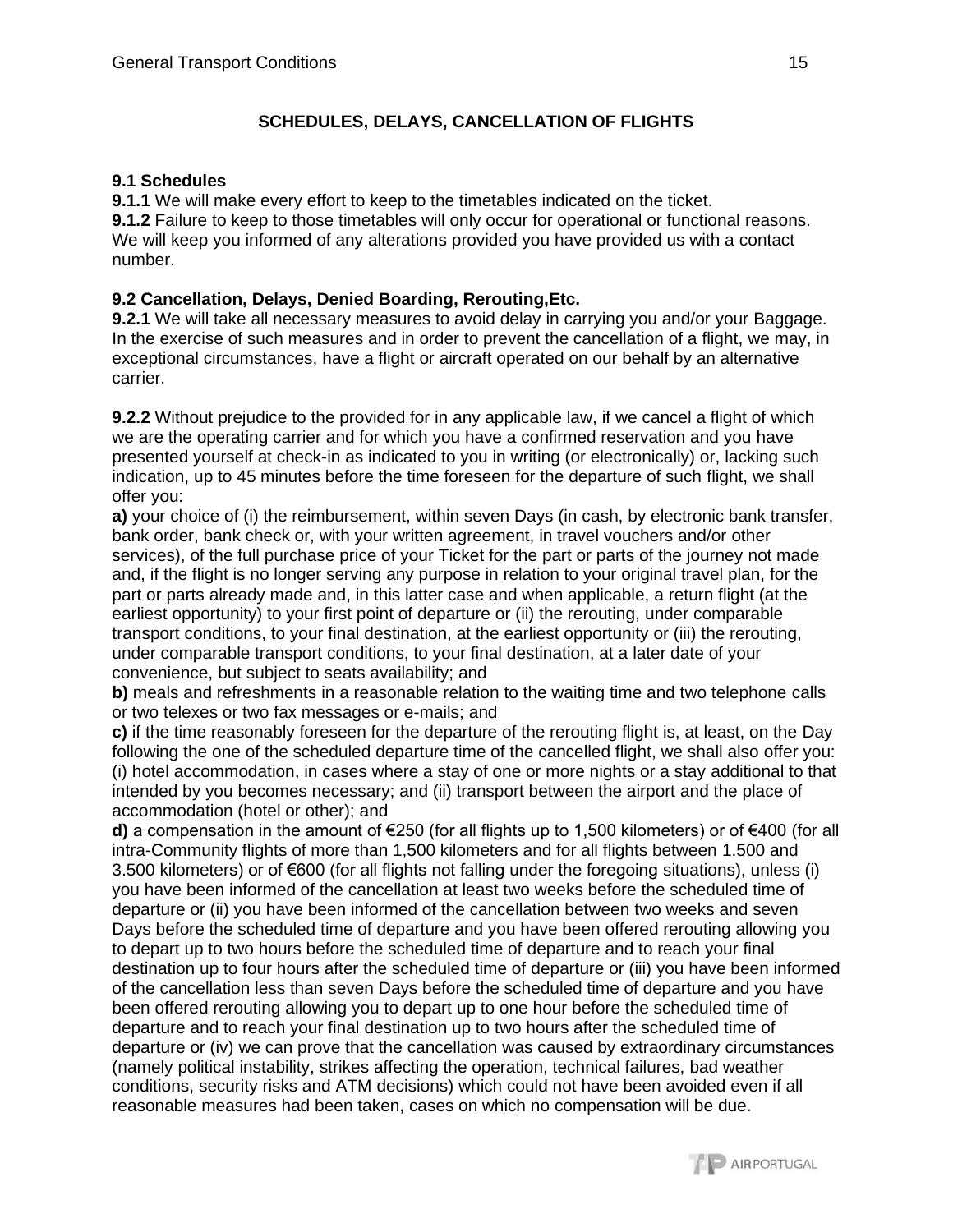# **SCHEDULES, DELAYS, CANCELLATION OF FLIGHTS**

## **9.1 Schedules**

**9.1.1** We will make every effort to keep to the timetables indicated on the ticket.

**9.1.2** Failure to keep to those timetables will only occur for operational or functional reasons. We will keep you informed of any alterations provided you have provided us with a contact number.

# **9.2 Cancellation, Delays, Denied Boarding, Rerouting,Etc.**

**9.2.1** We will take all necessary measures to avoid delay in carrying you and/or your Baggage. In the exercise of such measures and in order to prevent the cancellation of a flight, we may, in exceptional circumstances, have a flight or aircraft operated on our behalf by an alternative carrier.

**9.2.2** Without prejudice to the provided for in any applicable law, if we cancel a flight of which we are the operating carrier and for which you have a confirmed reservation and you have presented yourself at check-in as indicated to you in writing (or electronically) or, lacking such indication, up to 45 minutes before the time foreseen for the departure of such flight, we shall offer you:

**a)** your choice of (i) the reimbursement, within seven Days (in cash, by electronic bank transfer, bank order, bank check or, with your written agreement, in travel vouchers and/or other services), of the full purchase price of your Ticket for the part or parts of the journey not made and, if the flight is no longer serving any purpose in relation to your original travel plan, for the part or parts already made and, in this latter case and when applicable, a return flight (at the earliest opportunity) to your first point of departure or (ii) the rerouting, under comparable transport conditions, to your final destination, at the earliest opportunity or (iii) the rerouting, under comparable transport conditions, to your final destination, at a later date of your convenience, but subject to seats availability; and

**b)** meals and refreshments in a reasonable relation to the waiting time and two telephone calls or two telexes or two fax messages or e-mails; and

**c)** if the time reasonably foreseen for the departure of the rerouting flight is, at least, on the Day following the one of the scheduled departure time of the cancelled flight, we shall also offer you: (i) hotel accommodation, in cases where a stay of one or more nights or a stay additional to that intended by you becomes necessary; and (ii) transport between the airport and the place of accommodation (hotel or other); and

**d)** a compensation in the amount of €250 (for all flights up to 1,500 kilometers) or of €400 (for all intra-Community flights of more than 1,500 kilometers and for all flights between 1.500 and 3.500 kilometers) or of €600 (for all flights not falling under the foregoing situations), unless (i) you have been informed of the cancellation at least two weeks before the scheduled time of departure or (ii) you have been informed of the cancellation between two weeks and seven Days before the scheduled time of departure and you have been offered rerouting allowing you to depart up to two hours before the scheduled time of departure and to reach your final destination up to four hours after the scheduled time of departure or (iii) you have been informed of the cancellation less than seven Days before the scheduled time of departure and you have been offered rerouting allowing you to depart up to one hour before the scheduled time of departure and to reach your final destination up to two hours after the scheduled time of departure or (iv) we can prove that the cancellation was caused by extraordinary circumstances (namely political instability, strikes affecting the operation, technical failures, bad weather conditions, security risks and ATM decisions) which could not have been avoided even if all reasonable measures had been taken, cases on which no compensation will be due.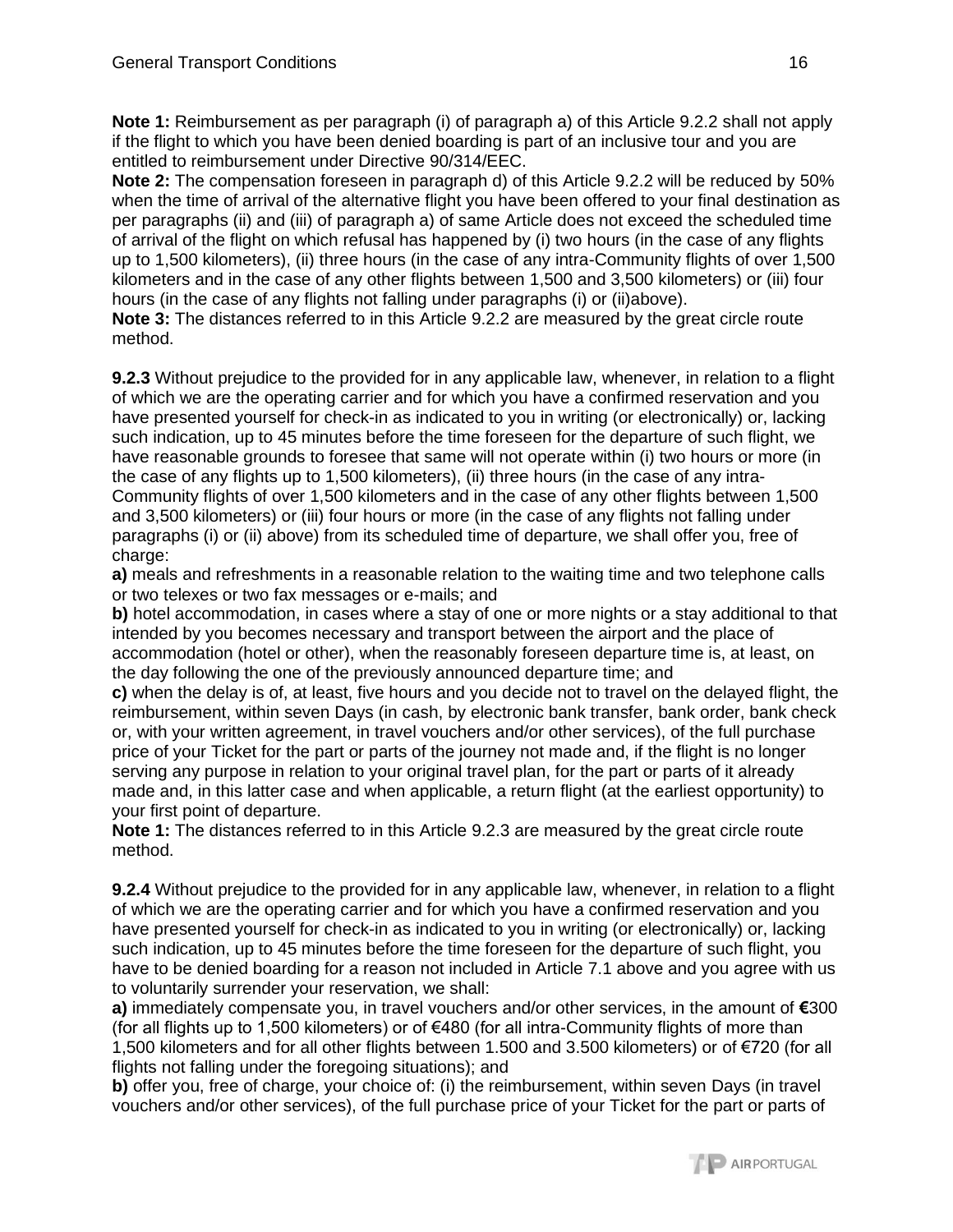**Note 1:** Reimbursement as per paragraph (i) of paragraph a) of this Article 9.2.2 shall not apply if the flight to which you have been denied boarding is part of an inclusive tour and you are entitled to reimbursement under Directive 90/314/EEC.

**Note 2:** The compensation foreseen in paragraph d) of this Article 9.2.2 will be reduced by 50% when the time of arrival of the alternative flight you have been offered to your final destination as per paragraphs (ii) and (iii) of paragraph a) of same Article does not exceed the scheduled time of arrival of the flight on which refusal has happened by (i) two hours (in the case of any flights up to 1,500 kilometers), (ii) three hours (in the case of any intra-Community flights of over 1,500 kilometers and in the case of any other flights between 1,500 and 3,500 kilometers) or (iii) four hours (in the case of any flights not falling under paragraphs (i) or (ii)above).

**Note 3:** The distances referred to in this Article 9.2.2 are measured by the great circle route method.

**9.2.3** Without prejudice to the provided for in any applicable law, whenever, in relation to a flight of which we are the operating carrier and for which you have a confirmed reservation and you have presented yourself for check-in as indicated to you in writing (or electronically) or, lacking such indication, up to 45 minutes before the time foreseen for the departure of such flight, we have reasonable grounds to foresee that same will not operate within (i) two hours or more (in the case of any flights up to 1,500 kilometers), (ii) three hours (in the case of any intra-Community flights of over 1,500 kilometers and in the case of any other flights between 1,500 and 3,500 kilometers) or (iii) four hours or more (in the case of any flights not falling under paragraphs (i) or (ii) above) from its scheduled time of departure, we shall offer you, free of charge:

**a)** meals and refreshments in a reasonable relation to the waiting time and two telephone calls or two telexes or two fax messages or e-mails; and

**b)** hotel accommodation, in cases where a stay of one or more nights or a stay additional to that intended by you becomes necessary and transport between the airport and the place of accommodation (hotel or other), when the reasonably foreseen departure time is, at least, on the day following the one of the previously announced departure time; and

**c)** when the delay is of, at least, five hours and you decide not to travel on the delayed flight, the reimbursement, within seven Days (in cash, by electronic bank transfer, bank order, bank check or, with your written agreement, in travel vouchers and/or other services), of the full purchase price of your Ticket for the part or parts of the journey not made and, if the flight is no longer serving any purpose in relation to your original travel plan, for the part or parts of it already made and, in this latter case and when applicable, a return flight (at the earliest opportunity) to your first point of departure.

**Note 1:** The distances referred to in this Article 9.2.3 are measured by the great circle route method.

**9.2.4** Without prejudice to the provided for in any applicable law, whenever, in relation to a flight of which we are the operating carrier and for which you have a confirmed reservation and you have presented yourself for check-in as indicated to you in writing (or electronically) or, lacking such indication, up to 45 minutes before the time foreseen for the departure of such flight, you have to be denied boarding for a reason not included in Article 7.1 above and you agree with us to voluntarily surrender your reservation, we shall:

**a)** immediately compensate you, in travel vouchers and/or other services, in the amount of **€**300 (for all flights up to 1,500 kilometers) or of €480 (for all intra-Community flights of more than 1,500 kilometers and for all other flights between 1.500 and 3.500 kilometers) or of €720 (for all flights not falling under the foregoing situations); and

**b)** offer you, free of charge, your choice of: (i) the reimbursement, within seven Days (in travel vouchers and/or other services), of the full purchase price of your Ticket for the part or parts of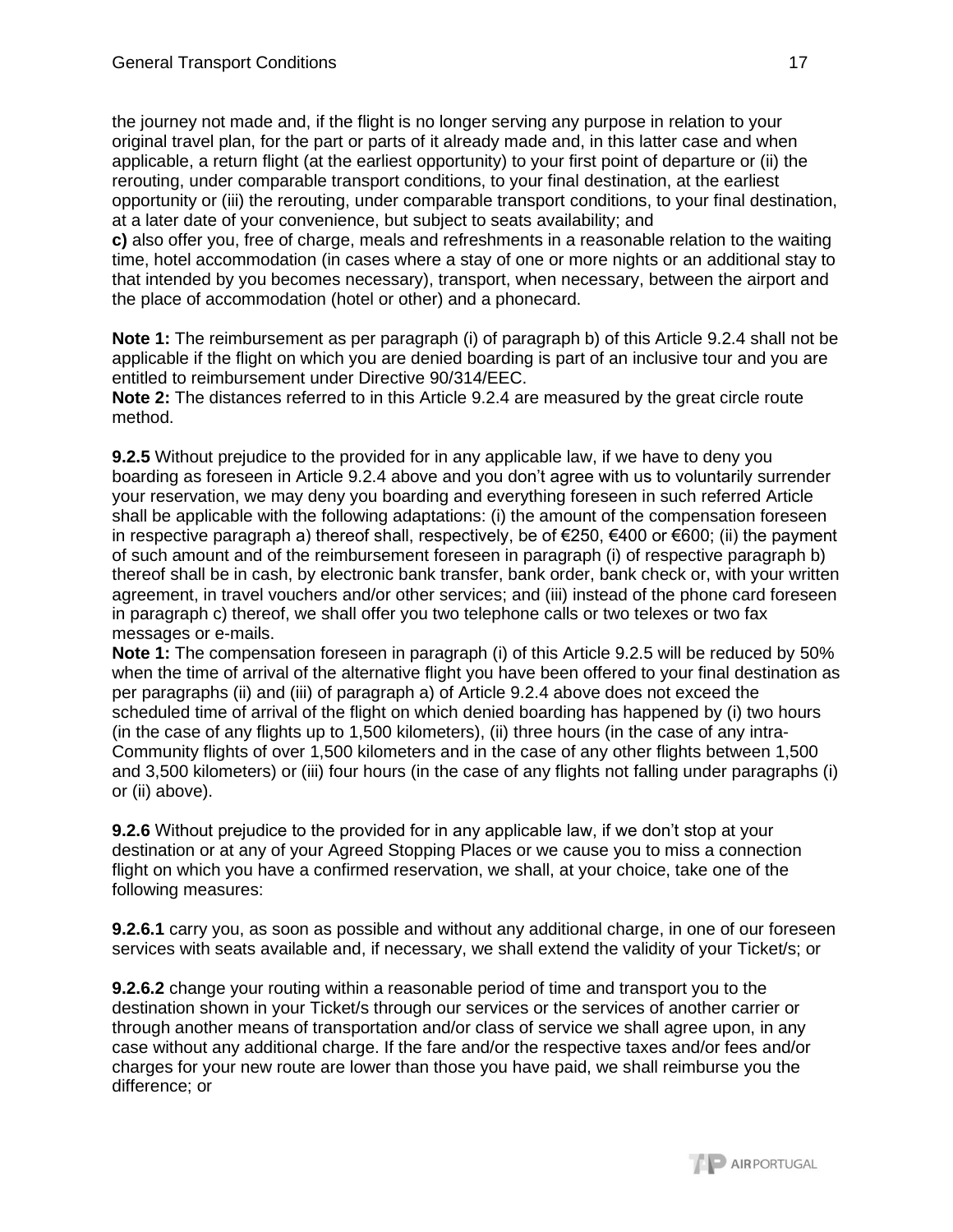the journey not made and, if the flight is no longer serving any purpose in relation to your original travel plan, for the part or parts of it already made and, in this latter case and when applicable, a return flight (at the earliest opportunity) to your first point of departure or (ii) the rerouting, under comparable transport conditions, to your final destination, at the earliest opportunity or (iii) the rerouting, under comparable transport conditions, to your final destination, at a later date of your convenience, but subject to seats availability; and

**c)** also offer you, free of charge, meals and refreshments in a reasonable relation to the waiting time, hotel accommodation (in cases where a stay of one or more nights or an additional stay to that intended by you becomes necessary), transport, when necessary, between the airport and the place of accommodation (hotel or other) and a phonecard.

**Note 1:** The reimbursement as per paragraph (i) of paragraph b) of this Article 9.2.4 shall not be applicable if the flight on which you are denied boarding is part of an inclusive tour and you are entitled to reimbursement under Directive 90/314/EEC.

**Note 2:** The distances referred to in this Article 9.2.4 are measured by the great circle route method.

**9.2.5** Without prejudice to the provided for in any applicable law, if we have to deny you boarding as foreseen in Article 9.2.4 above and you don't agree with us to voluntarily surrender your reservation, we may deny you boarding and everything foreseen in such referred Article shall be applicable with the following adaptations: (i) the amount of the compensation foreseen in respective paragraph a) thereof shall, respectively, be of  $\epsilon$ 250,  $\epsilon$ 400 or  $\epsilon$ 600; (ii) the payment of such amount and of the reimbursement foreseen in paragraph (i) of respective paragraph b) thereof shall be in cash, by electronic bank transfer, bank order, bank check or, with your written agreement, in travel vouchers and/or other services; and (iii) instead of the phone card foreseen in paragraph c) thereof, we shall offer you two telephone calls or two telexes or two fax messages or e-mails.

**Note 1:** The compensation foreseen in paragraph (i) of this Article 9.2.5 will be reduced by 50% when the time of arrival of the alternative flight you have been offered to your final destination as per paragraphs (ii) and (iii) of paragraph a) of Article 9.2.4 above does not exceed the scheduled time of arrival of the flight on which denied boarding has happened by (i) two hours (in the case of any flights up to 1,500 kilometers), (ii) three hours (in the case of any intra-Community flights of over 1,500 kilometers and in the case of any other flights between 1,500 and 3,500 kilometers) or (iii) four hours (in the case of any flights not falling under paragraphs (i) or (ii) above).

**9.2.6** Without prejudice to the provided for in any applicable law, if we don't stop at your destination or at any of your Agreed Stopping Places or we cause you to miss a connection flight on which you have a confirmed reservation, we shall, at your choice, take one of the following measures:

**9.2.6.1** carry you, as soon as possible and without any additional charge, in one of our foreseen services with seats available and, if necessary, we shall extend the validity of your Ticket/s; or

**9.2.6.2** change your routing within a reasonable period of time and transport you to the destination shown in your Ticket/s through our services or the services of another carrier or through another means of transportation and/or class of service we shall agree upon, in any case without any additional charge. If the fare and/or the respective taxes and/or fees and/or charges for your new route are lower than those you have paid, we shall reimburse you the difference; or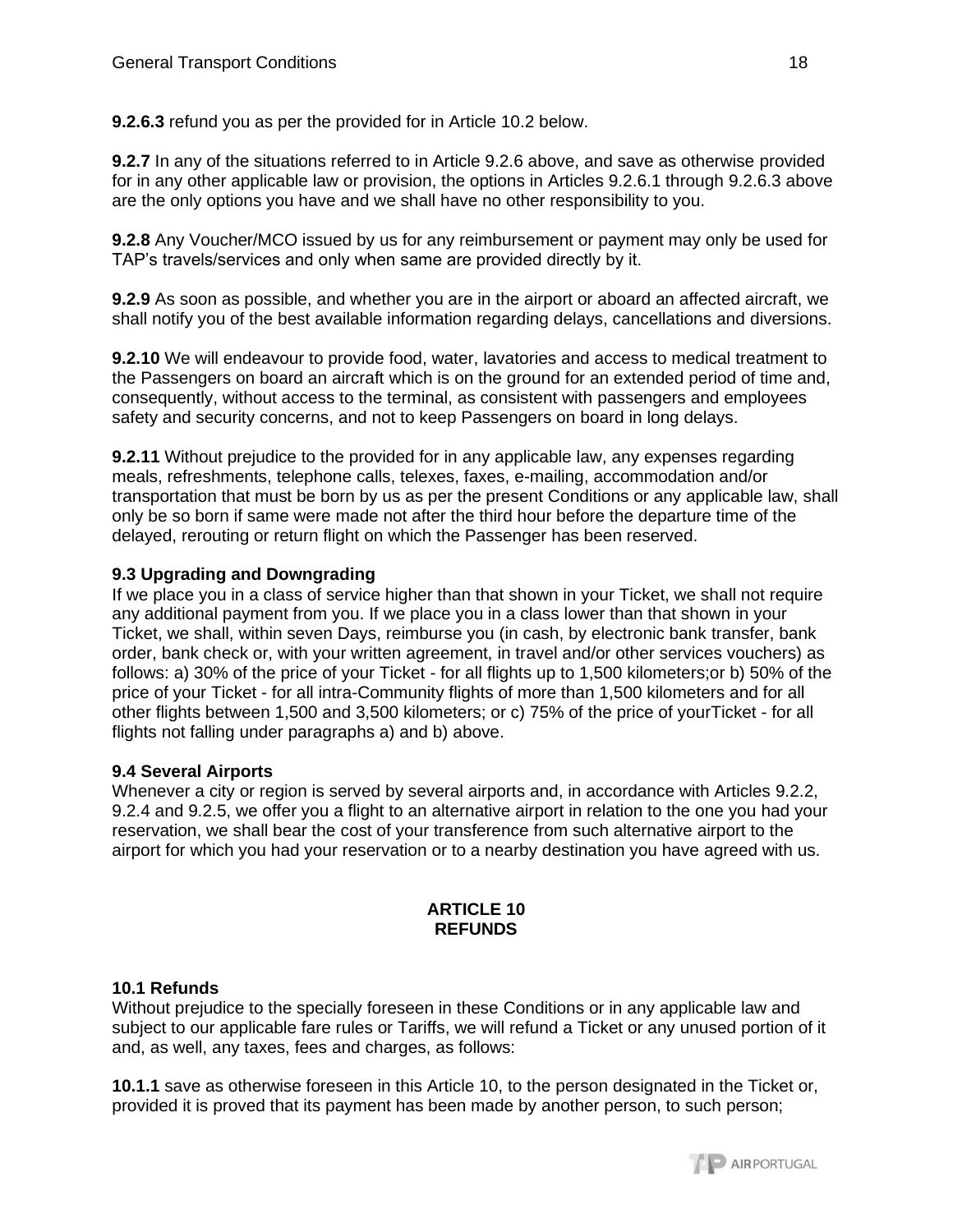**9.2.6.3** refund you as per the provided for in Article 10.2 below.

**9.2.7** In any of the situations referred to in Article 9.2.6 above, and save as otherwise provided for in any other applicable law or provision, the options in Articles 9.2.6.1 through 9.2.6.3 above are the only options you have and we shall have no other responsibility to you.

**9.2.8** Any Voucher/MCO issued by us for any reimbursement or payment may only be used for TAP's travels/services and only when same are provided directly by it.

**9.2.9** As soon as possible, and whether you are in the airport or aboard an affected aircraft, we shall notify you of the best available information regarding delays, cancellations and diversions.

**9.2.10** We will endeavour to provide food, water, lavatories and access to medical treatment to the Passengers on board an aircraft which is on the ground for an extended period of time and, consequently, without access to the terminal, as consistent with passengers and employees safety and security concerns, and not to keep Passengers on board in long delays.

**9.2.11** Without prejudice to the provided for in any applicable law, any expenses regarding meals, refreshments, telephone calls, telexes, faxes, e-mailing, accommodation and/or transportation that must be born by us as per the present Conditions or any applicable law, shall only be so born if same were made not after the third hour before the departure time of the delayed, rerouting or return flight on which the Passenger has been reserved.

## **9.3 Upgrading and Downgrading**

If we place you in a class of service higher than that shown in your Ticket, we shall not require any additional payment from you. If we place you in a class lower than that shown in your Ticket, we shall, within seven Days, reimburse you (in cash, by electronic bank transfer, bank order, bank check or, with your written agreement, in travel and/or other services vouchers) as follows: a) 30% of the price of your Ticket - for all flights up to 1,500 kilometers;or b) 50% of the price of your Ticket - for all intra-Community flights of more than 1,500 kilometers and for all other flights between 1,500 and 3,500 kilometers; or c) 75% of the price of yourTicket - for all flights not falling under paragraphs a) and b) above.

### **9.4 Several Airports**

Whenever a city or region is served by several airports and, in accordance with Articles 9.2.2, 9.2.4 and 9.2.5, we offer you a flight to an alternative airport in relation to the one you had your reservation, we shall bear the cost of your transference from such alternative airport to the airport for which you had your reservation or to a nearby destination you have agreed with us.

#### **ARTICLE 10 REFUNDS**

### **10.1 Refunds**

Without prejudice to the specially foreseen in these Conditions or in any applicable law and subject to our applicable fare rules or Tariffs, we will refund a Ticket or any unused portion of it and, as well, any taxes, fees and charges, as follows:

**10.1.1** save as otherwise foreseen in this Article 10, to the person designated in the Ticket or, provided it is proved that its payment has been made by another person, to such person;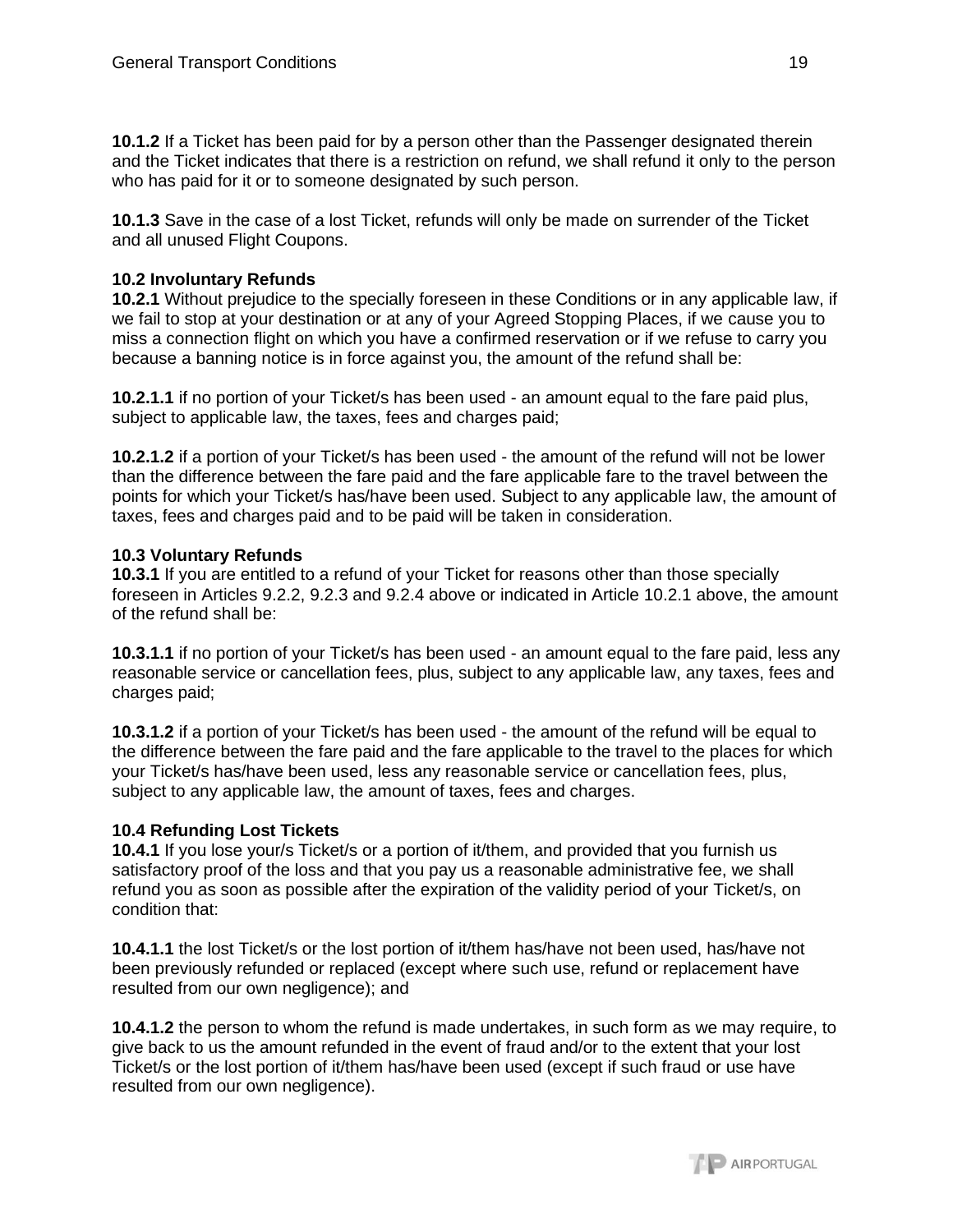**10.1.2** If a Ticket has been paid for by a person other than the Passenger designated therein and the Ticket indicates that there is a restriction on refund, we shall refund it only to the person who has paid for it or to someone designated by such person.

**10.1.3** Save in the case of a lost Ticket, refunds will only be made on surrender of the Ticket and all unused Flight Coupons.

## **10.2 Involuntary Refunds**

**10.2.1** Without prejudice to the specially foreseen in these Conditions or in any applicable law, if we fail to stop at your destination or at any of your Agreed Stopping Places, if we cause you to miss a connection flight on which you have a confirmed reservation or if we refuse to carry you because a banning notice is in force against you, the amount of the refund shall be:

**10.2.1.1** if no portion of your Ticket/s has been used - an amount equal to the fare paid plus, subject to applicable law, the taxes, fees and charges paid;

**10.2.1.2** if a portion of your Ticket/s has been used - the amount of the refund will not be lower than the difference between the fare paid and the fare applicable fare to the travel between the points for which your Ticket/s has/have been used. Subject to any applicable law, the amount of taxes, fees and charges paid and to be paid will be taken in consideration.

## **10.3 Voluntary Refunds**

**10.3.1** If you are entitled to a refund of your Ticket for reasons other than those specially foreseen in Articles 9.2.2, 9.2.3 and 9.2.4 above or indicated in Article 10.2.1 above, the amount of the refund shall be:

**10.3.1.1** if no portion of your Ticket/s has been used - an amount equal to the fare paid, less any reasonable service or cancellation fees, plus, subject to any applicable law, any taxes, fees and charges paid;

**10.3.1.2** if a portion of your Ticket/s has been used - the amount of the refund will be equal to the difference between the fare paid and the fare applicable to the travel to the places for which your Ticket/s has/have been used, less any reasonable service or cancellation fees, plus, subject to any applicable law, the amount of taxes, fees and charges.

# **10.4 Refunding Lost Tickets**

**10.4.1** If you lose your/s Ticket/s or a portion of it/them, and provided that you furnish us satisfactory proof of the loss and that you pay us a reasonable administrative fee, we shall refund you as soon as possible after the expiration of the validity period of your Ticket/s, on condition that:

**10.4.1.1** the lost Ticket/s or the lost portion of it/them has/have not been used, has/have not been previously refunded or replaced (except where such use, refund or replacement have resulted from our own negligence); and

**10.4.1.2** the person to whom the refund is made undertakes, in such form as we may require, to give back to us the amount refunded in the event of fraud and/or to the extent that your lost Ticket/s or the lost portion of it/them has/have been used (except if such fraud or use have resulted from our own negligence).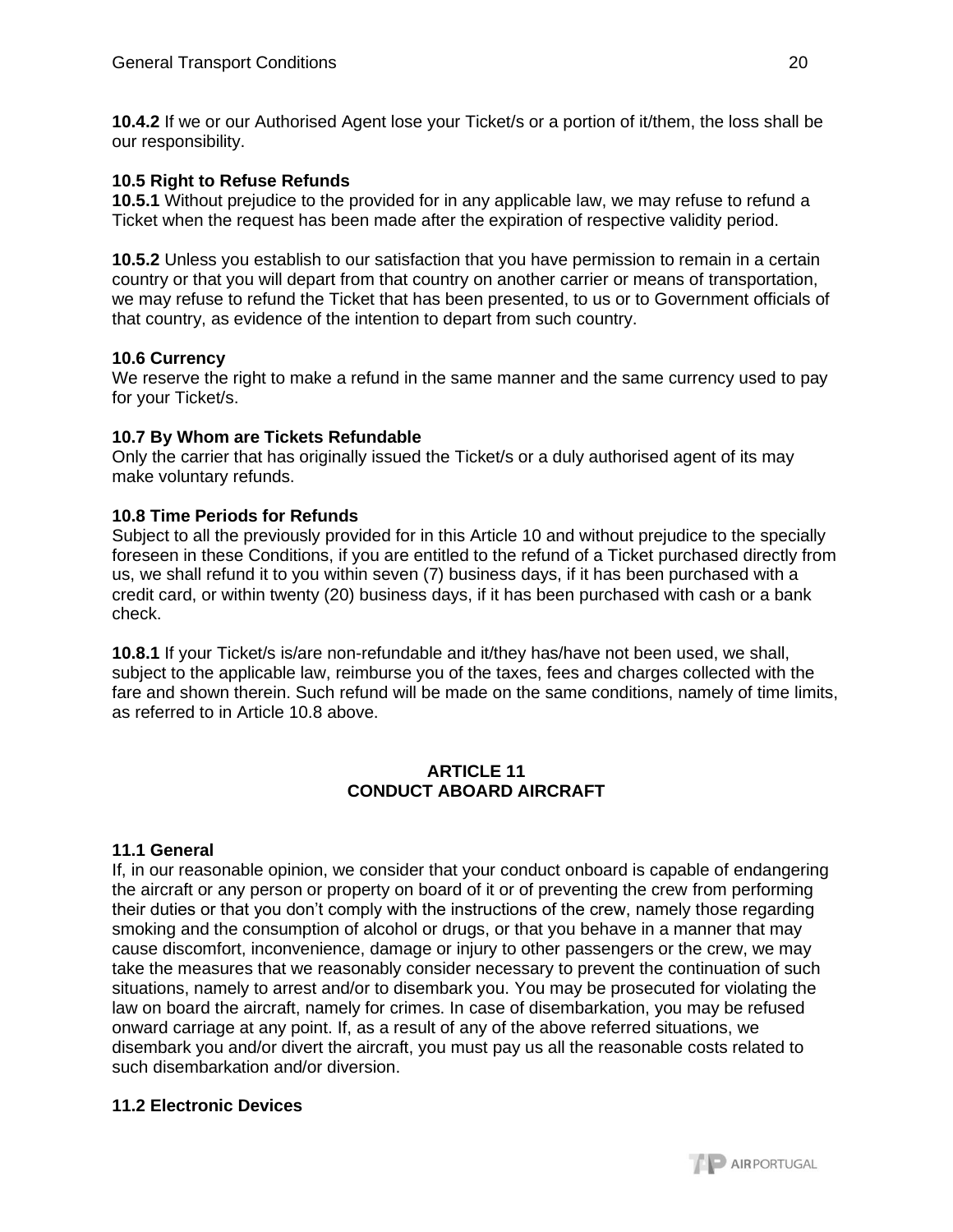**10.4.2** If we or our Authorised Agent lose your Ticket/s or a portion of it/them, the loss shall be our responsibility.

### **10.5 Right to Refuse Refunds**

**10.5.1** Without prejudice to the provided for in any applicable law, we may refuse to refund a Ticket when the request has been made after the expiration of respective validity period.

**10.5.2** Unless you establish to our satisfaction that you have permission to remain in a certain country or that you will depart from that country on another carrier or means of transportation, we may refuse to refund the Ticket that has been presented, to us or to Government officials of that country, as evidence of the intention to depart from such country.

### **10.6 Currency**

We reserve the right to make a refund in the same manner and the same currency used to pay for your Ticket/s.

## **10.7 By Whom are Tickets Refundable**

Only the carrier that has originally issued the Ticket/s or a duly authorised agent of its may make voluntary refunds.

## **10.8 Time Periods for Refunds**

Subject to all the previously provided for in this Article 10 and without prejudice to the specially foreseen in these Conditions, if you are entitled to the refund of a Ticket purchased directly from us, we shall refund it to you within seven (7) business days, if it has been purchased with a credit card, or within twenty (20) business days, if it has been purchased with cash or a bank check.

**10.8.1** If your Ticket/s is/are non-refundable and it/they has/have not been used, we shall, subject to the applicable law, reimburse you of the taxes, fees and charges collected with the fare and shown therein. Such refund will be made on the same conditions, namely of time limits, as referred to in Article 10.8 above.

### **ARTICLE 11 CONDUCT ABOARD AIRCRAFT**

# **11.1 General**

If, in our reasonable opinion, we consider that your conduct onboard is capable of endangering the aircraft or any person or property on board of it or of preventing the crew from performing their duties or that you don't comply with the instructions of the crew, namely those regarding smoking and the consumption of alcohol or drugs, or that you behave in a manner that may cause discomfort, inconvenience, damage or injury to other passengers or the crew, we may take the measures that we reasonably consider necessary to prevent the continuation of such situations, namely to arrest and/or to disembark you. You may be prosecuted for violating the law on board the aircraft, namely for crimes. In case of disembarkation, you may be refused onward carriage at any point. If, as a result of any of the above referred situations, we disembark you and/or divert the aircraft, you must pay us all the reasonable costs related to such disembarkation and/or diversion.

# **11.2 Electronic Devices**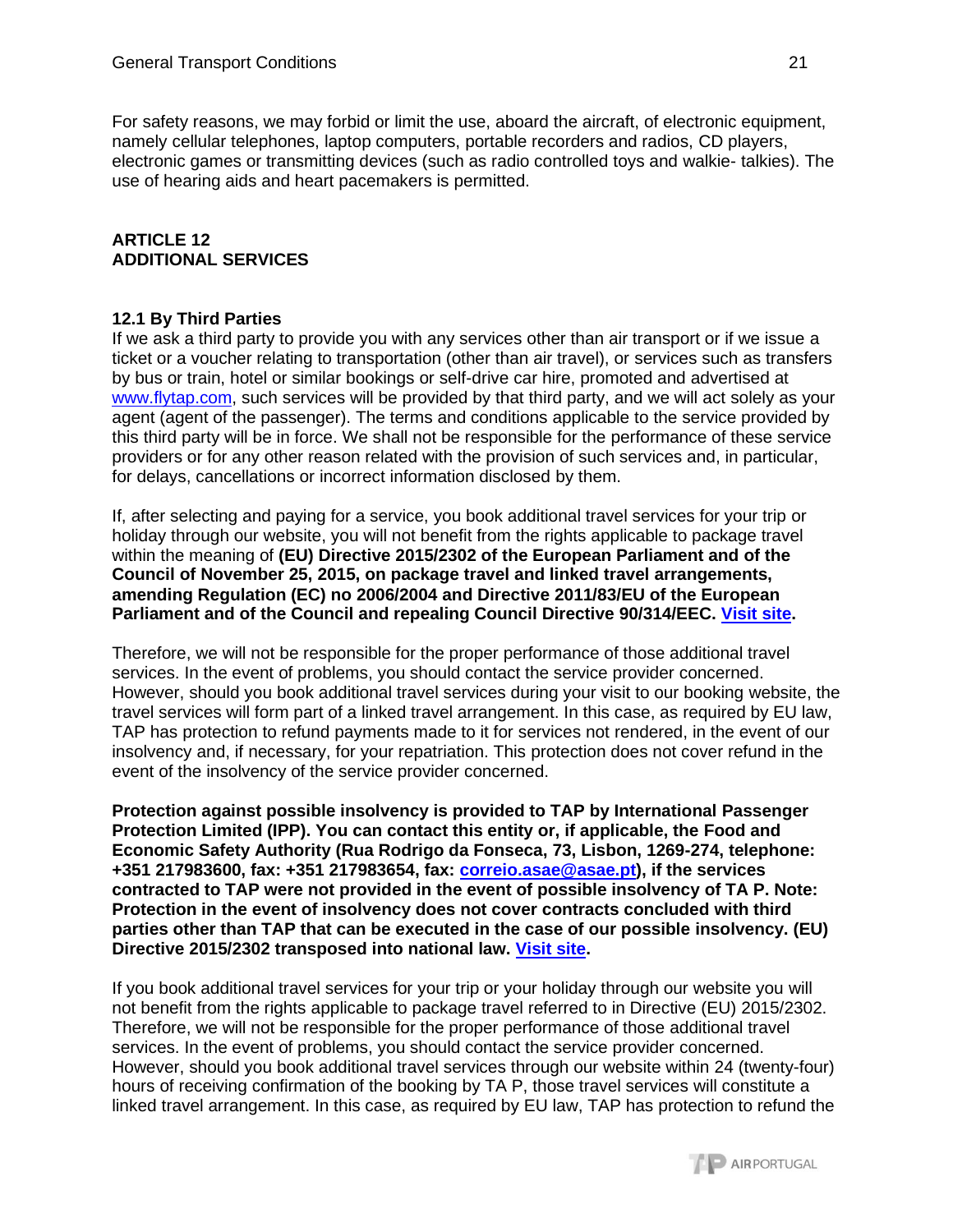For safety reasons, we may forbid or limit the use, aboard the aircraft, of electronic equipment, namely cellular telephones, laptop computers, portable recorders and radios, CD players, electronic games or transmitting devices (such as radio controlled toys and walkie- talkies). The use of hearing aids and heart pacemakers is permitted.

## **ARTICLE 12 ADDITIONAL SERVICES**

## **12.1 By Third Parties**

If we ask a third party to provide you with any services other than air transport or if we issue a ticket or a voucher relating to transportation (other than air travel), or services such as transfers by bus or train, hotel or similar bookings or self-drive car hire, promoted and advertised at [www.flytap.com,](http://www.flytap.com/) such services will be provided by that third party, and we will act solely as your agent (agent of the passenger). The terms and conditions applicable to the service provided by this third party will be in force. We shall not be responsible for the performance of these service providers or for any other reason related with the provision of such services and, in particular, for delays, cancellations or incorrect information disclosed by them.

If, after selecting and paying for a service, you book additional travel services for your trip or holiday through our website, you will not benefit from the rights applicable to package travel within the meaning of **(EU) Directive 2015/2302 of the European Parliament and of the Council of November 25, 2015, on package travel and linked travel arrangements, amending Regulation (EC) no 2006/2004 and Directive 2011/83/EU of the European Parliament and of the Council and repealing Council Directive 90/314/EEC. [Visit site.](https://eur-lex.europa.eu/legal-content/PT/TXT/PDF/?uri=CELEX:32015L2302&from=EL)**

Therefore, we will not be responsible for the proper performance of those additional travel services. In the event of problems, you should contact the service provider concerned. However, should you book additional travel services during your visit to our booking website, the travel services will form part of a linked travel arrangement. In this case, as required by EU law, TAP has protection to refund payments made to it for services not rendered, in the event of our insolvency and, if necessary, for your repatriation. This protection does not cover refund in the event of the insolvency of the service provider concerned.

**Protection against possible insolvency is provided to TAP by International Passenger Protection Limited (IPP). You can contact this entity or, if applicable, the Food and Economic Safety Authority (Rua Rodrigo da Fonseca, 73, Lisbon, 1269-274, telephone: +351 217983600, fax: +351 217983654, fax: [correio.asae@asae.pt\)](mailto:correio.asae@asae.pt), if the services contracted to TAP were not provided in the event of possible insolvency of TA P. Note: Protection in the event of insolvency does not cover contracts concluded with third parties other than TAP that can be executed in the case of our possible insolvency. (EU) Directive 2015/2302 transposed into national law. [Visit site.](https://eur-lex.europa.eu/legal-content/PT/TXT/PDF/?uri=CELEX:32015L2302&from=EL)**

If you book additional travel services for your trip or your holiday through our website you will not benefit from the rights applicable to package travel referred to in Directive (EU) 2015/2302. Therefore, we will not be responsible for the proper performance of those additional travel services. In the event of problems, you should contact the service provider concerned. However, should you book additional travel services through our website within 24 (twenty-four) hours of receiving confirmation of the booking by TA P, those travel services will constitute a linked travel arrangement. In this case, as required by EU law, TAP has protection to refund the

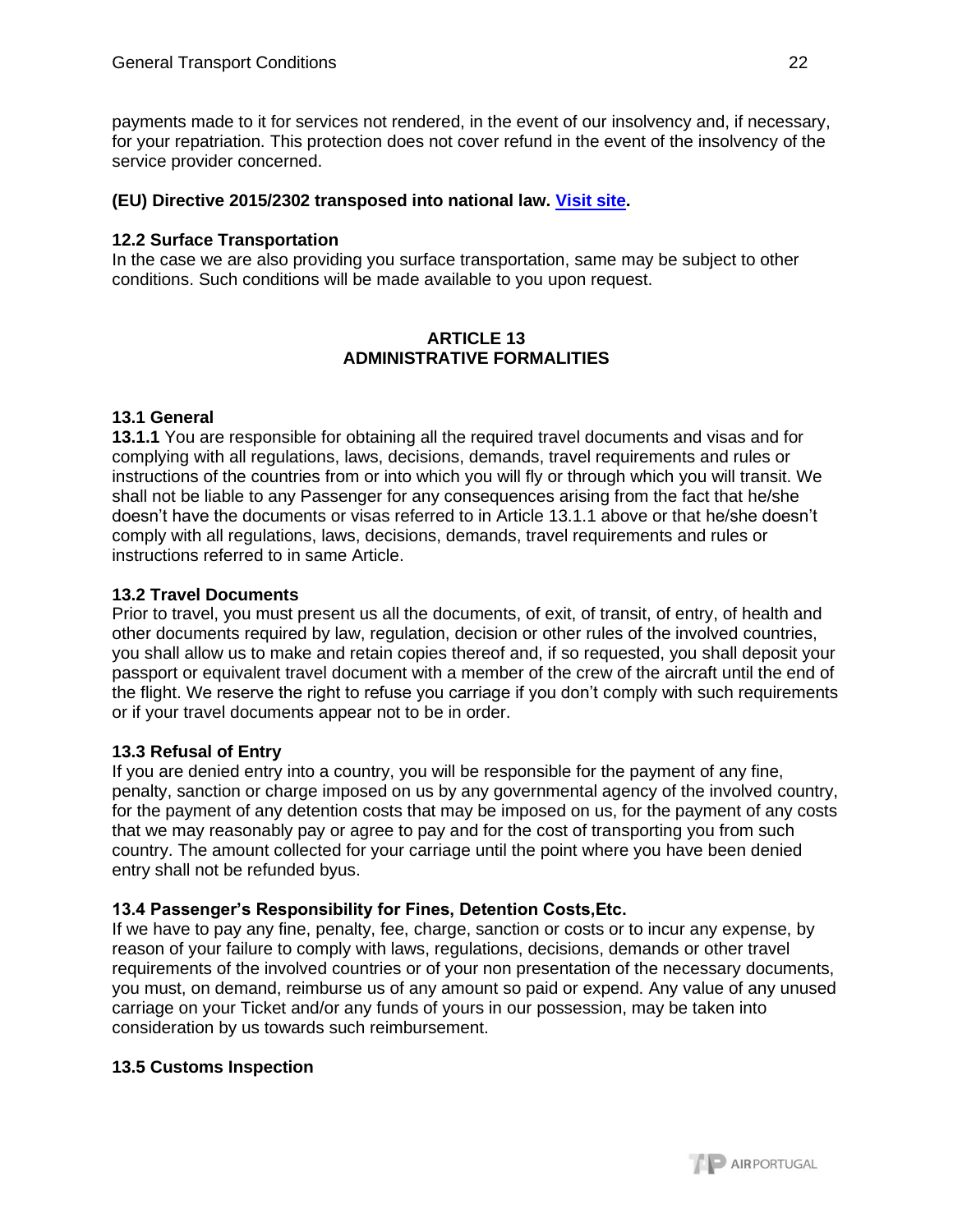payments made to it for services not rendered, in the event of our insolvency and, if necessary, for your repatriation. This protection does not cover refund in the event of the insolvency of the service provider concerned.

### **(EU) Directive 2015/2302 transposed into national law. [Visit site.](https://eur-lex.europa.eu/legal-content/PT/TXT/PDF/?uri=CELEX:32015L2302&from=EL)**

## **12.2 Surface Transportation**

In the case we are also providing you surface transportation, same may be subject to other conditions. Such conditions will be made available to you upon request.

## **ARTICLE 13 ADMINISTRATIVE FORMALITIES**

## **13.1 General**

**13.1.1** You are responsible for obtaining all the required travel documents and visas and for complying with all regulations, laws, decisions, demands, travel requirements and rules or instructions of the countries from or into which you will fly or through which you will transit. We shall not be liable to any Passenger for any consequences arising from the fact that he/she doesn't have the documents or visas referred to in Article 13.1.1 above or that he/she doesn't comply with all regulations, laws, decisions, demands, travel requirements and rules or instructions referred to in same Article.

## **13.2 Travel Documents**

Prior to travel, you must present us all the documents, of exit, of transit, of entry, of health and other documents required by law, regulation, decision or other rules of the involved countries, you shall allow us to make and retain copies thereof and, if so requested, you shall deposit your passport or equivalent travel document with a member of the crew of the aircraft until the end of the flight. We reserve the right to refuse you carriage if you don't comply with such requirements or if your travel documents appear not to be in order.

### **13.3 Refusal of Entry**

If you are denied entry into a country, you will be responsible for the payment of any fine, penalty, sanction or charge imposed on us by any governmental agency of the involved country, for the payment of any detention costs that may be imposed on us, for the payment of any costs that we may reasonably pay or agree to pay and for the cost of transporting you from such country. The amount collected for your carriage until the point where you have been denied entry shall not be refunded byus.

# **13.4 Passenger's Responsibility for Fines, Detention Costs,Etc.**

If we have to pay any fine, penalty, fee, charge, sanction or costs or to incur any expense, by reason of your failure to comply with laws, regulations, decisions, demands or other travel requirements of the involved countries or of your non presentation of the necessary documents, you must, on demand, reimburse us of any amount so paid or expend. Any value of any unused carriage on your Ticket and/or any funds of yours in our possession, may be taken into consideration by us towards such reimbursement.

### **13.5 Customs Inspection**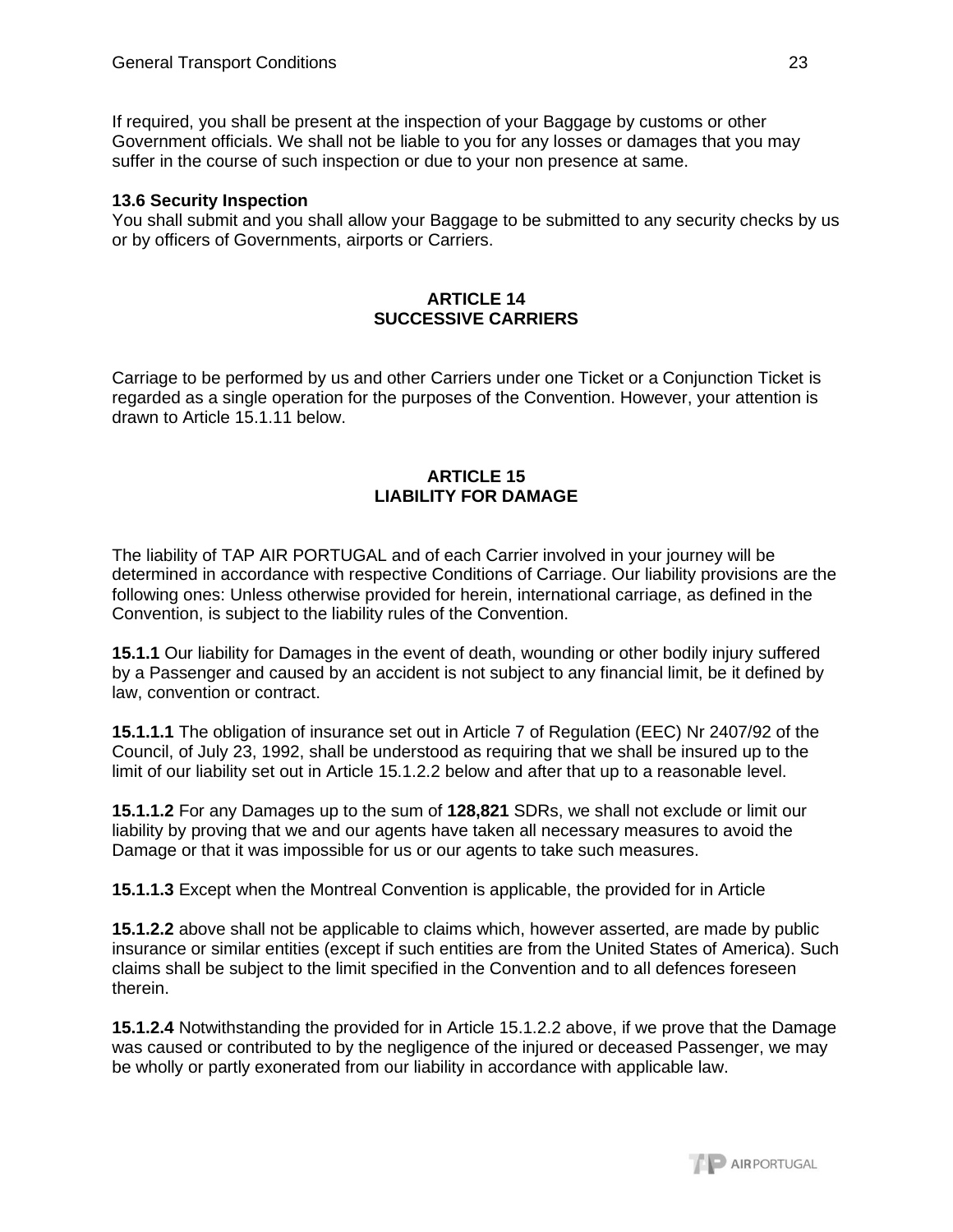If required, you shall be present at the inspection of your Baggage by customs or other Government officials. We shall not be liable to you for any losses or damages that you may suffer in the course of such inspection or due to your non presence at same.

#### **13.6 Security Inspection**

You shall submit and you shall allow your Baggage to be submitted to any security checks by us or by officers of Governments, airports or Carriers.

#### **ARTICLE 14 SUCCESSIVE CARRIERS**

Carriage to be performed by us and other Carriers under one Ticket or a Conjunction Ticket is regarded as a single operation for the purposes of the Convention. However, your attention is drawn to Article 15.1.11 below.

### **ARTICLE 15 LIABILITY FOR DAMAGE**

The liability of TAP AIR PORTUGAL and of each Carrier involved in your journey will be determined in accordance with respective Conditions of Carriage. Our liability provisions are the following ones: Unless otherwise provided for herein, international carriage, as defined in the Convention, is subject to the liability rules of the Convention.

**15.1.1** Our liability for Damages in the event of death, wounding or other bodily injury suffered by a Passenger and caused by an accident is not subject to any financial limit, be it defined by law, convention or contract.

**15.1.1.1** The obligation of insurance set out in Article 7 of Regulation (EEC) Nr 2407/92 of the Council, of July 23, 1992, shall be understood as requiring that we shall be insured up to the limit of our liability set out in Article 15.1.2.2 below and after that up to a reasonable level.

**15.1.1.2** For any Damages up to the sum of **128,821** SDRs, we shall not exclude or limit our liability by proving that we and our agents have taken all necessary measures to avoid the Damage or that it was impossible for us or our agents to take such measures.

**15.1.1.3** Except when the Montreal Convention is applicable, the provided for in Article

**15.1.2.2** above shall not be applicable to claims which, however asserted, are made by public insurance or similar entities (except if such entities are from the United States of America). Such claims shall be subject to the limit specified in the Convention and to all defences foreseen therein.

**15.1.2.4** Notwithstanding the provided for in Article 15.1.2.2 above, if we prove that the Damage was caused or contributed to by the negligence of the injured or deceased Passenger, we may be wholly or partly exonerated from our liability in accordance with applicable law.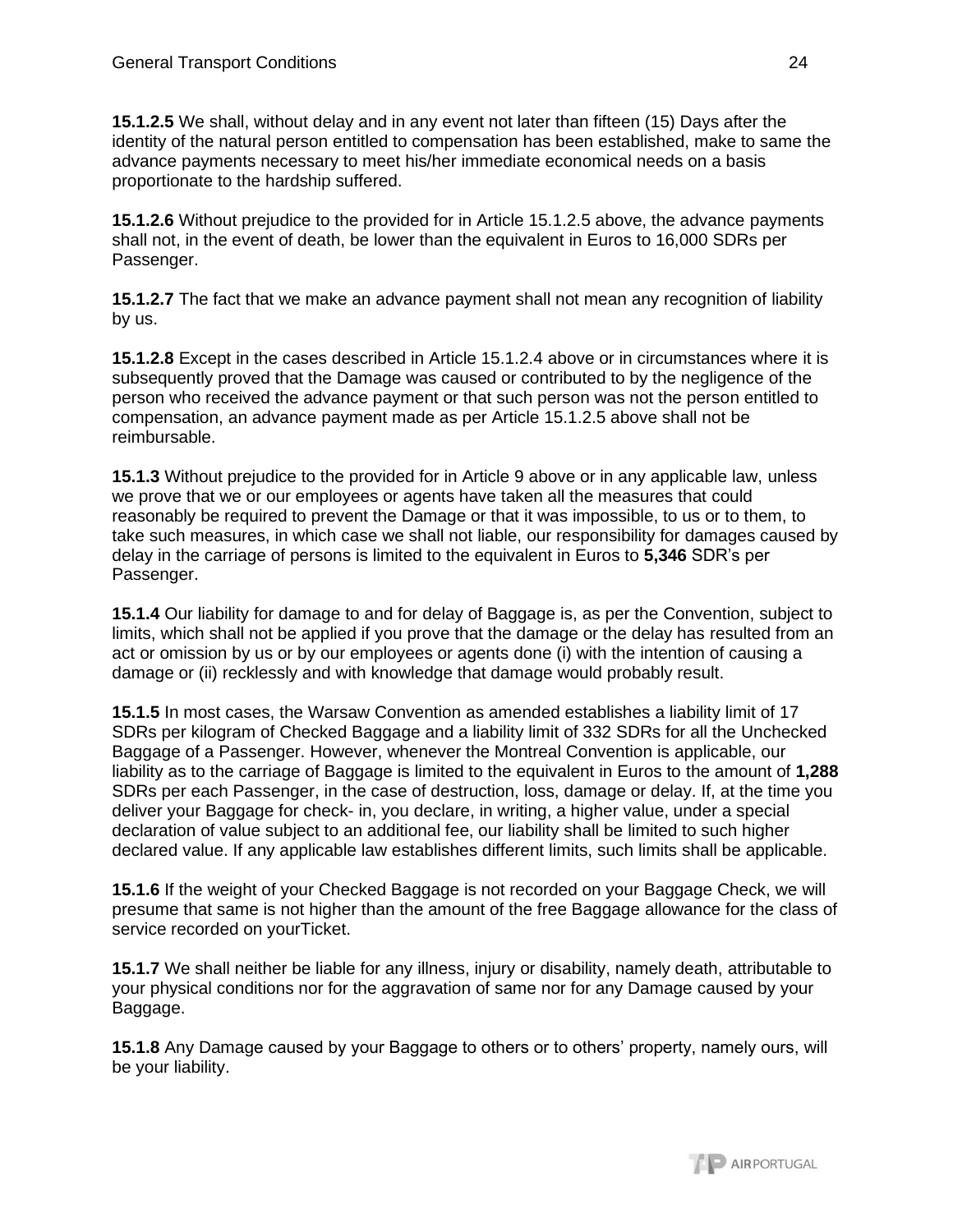**15.1.2.5** We shall, without delay and in any event not later than fifteen (15) Days after the identity of the natural person entitled to compensation has been established, make to same the advance payments necessary to meet his/her immediate economical needs on a basis proportionate to the hardship suffered.

**15.1.2.6** Without prejudice to the provided for in Article 15.1.2.5 above, the advance payments shall not, in the event of death, be lower than the equivalent in Euros to 16,000 SDRs per Passenger.

**15.1.2.7** The fact that we make an advance payment shall not mean any recognition of liability by us.

**15.1.2.8** Except in the cases described in Article 15.1.2.4 above or in circumstances where it is subsequently proved that the Damage was caused or contributed to by the negligence of the person who received the advance payment or that such person was not the person entitled to compensation, an advance payment made as per Article 15.1.2.5 above shall not be reimbursable.

**15.1.3** Without prejudice to the provided for in Article 9 above or in any applicable law, unless we prove that we or our employees or agents have taken all the measures that could reasonably be required to prevent the Damage or that it was impossible, to us or to them, to take such measures, in which case we shall not liable, our responsibility for damages caused by delay in the carriage of persons is limited to the equivalent in Euros to **5,346** SDR's per Passenger.

**15.1.4** Our liability for damage to and for delay of Baggage is, as per the Convention, subject to limits, which shall not be applied if you prove that the damage or the delay has resulted from an act or omission by us or by our employees or agents done (i) with the intention of causing a damage or (ii) recklessly and with knowledge that damage would probably result.

**15.1.5** In most cases, the Warsaw Convention as amended establishes a liability limit of 17 SDRs per kilogram of Checked Baggage and a liability limit of 332 SDRs for all the Unchecked Baggage of a Passenger. However, whenever the Montreal Convention is applicable, our liability as to the carriage of Baggage is limited to the equivalent in Euros to the amount of **1,288** SDRs per each Passenger, in the case of destruction, loss, damage or delay. If, at the time you deliver your Baggage for check- in, you declare, in writing, a higher value, under a special declaration of value subject to an additional fee, our liability shall be limited to such higher declared value. If any applicable law establishes different limits, such limits shall be applicable.

**15.1.6** If the weight of your Checked Baggage is not recorded on your Baggage Check, we will presume that same is not higher than the amount of the free Baggage allowance for the class of service recorded on yourTicket.

**15.1.7** We shall neither be liable for any illness, injury or disability, namely death, attributable to your physical conditions nor for the aggravation of same nor for any Damage caused by your Baggage.

**15.1.8** Any Damage caused by your Baggage to others or to others' property, namely ours, will be your liability.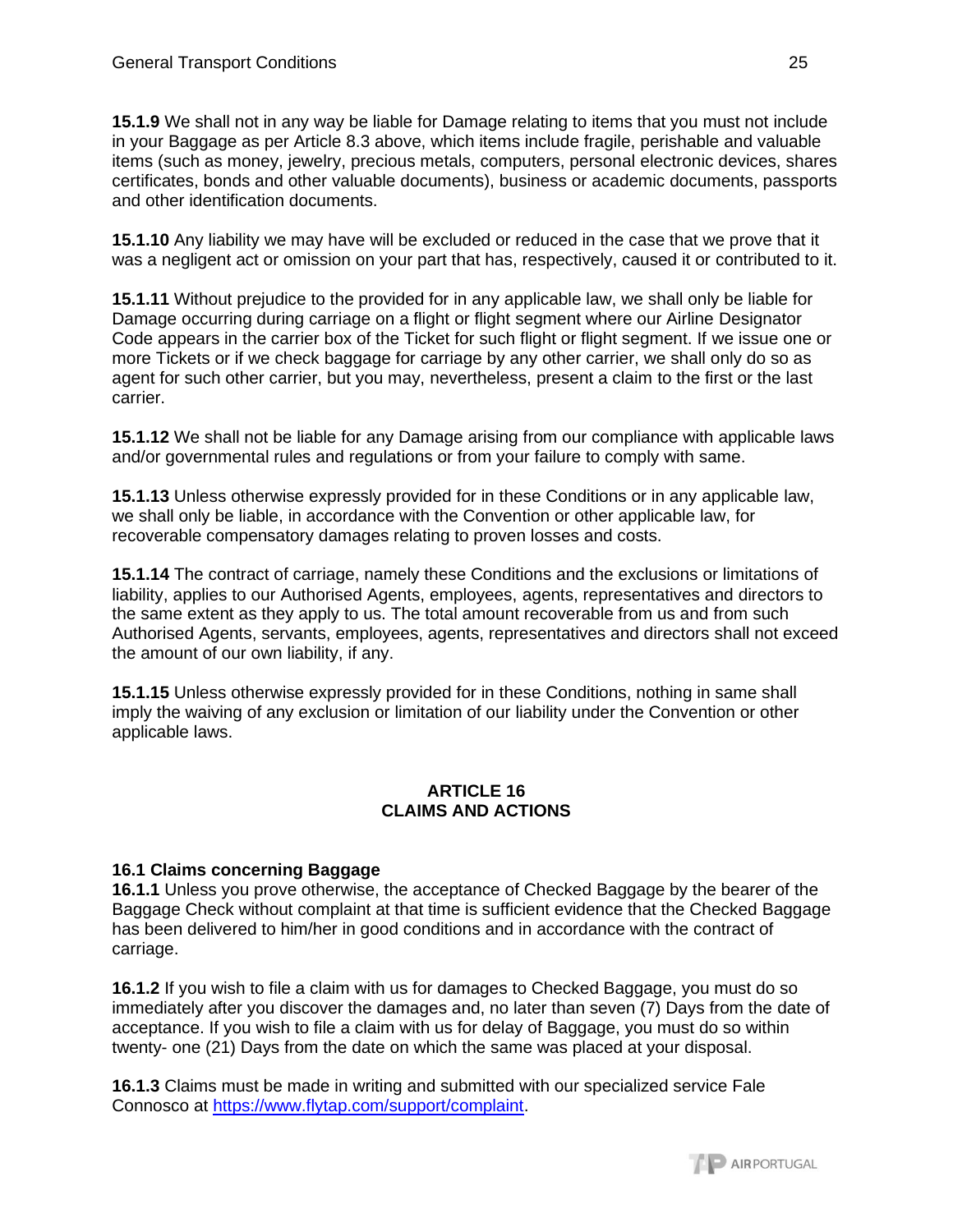**15.1.9** We shall not in any way be liable for Damage relating to items that you must not include in your Baggage as per Article 8.3 above, which items include fragile, perishable and valuable items (such as money, jewelry, precious metals, computers, personal electronic devices, shares certificates, bonds and other valuable documents), business or academic documents, passports and other identification documents.

**15.1.10** Any liability we may have will be excluded or reduced in the case that we prove that it was a negligent act or omission on your part that has, respectively, caused it or contributed to it.

**15.1.11** Without prejudice to the provided for in any applicable law, we shall only be liable for Damage occurring during carriage on a flight or flight segment where our Airline Designator Code appears in the carrier box of the Ticket for such flight or flight segment. If we issue one or more Tickets or if we check baggage for carriage by any other carrier, we shall only do so as agent for such other carrier, but you may, nevertheless, present a claim to the first or the last carrier.

**15.1.12** We shall not be liable for any Damage arising from our compliance with applicable laws and/or governmental rules and regulations or from your failure to comply with same.

**15.1.13** Unless otherwise expressly provided for in these Conditions or in any applicable law, we shall only be liable, in accordance with the Convention or other applicable law, for recoverable compensatory damages relating to proven losses and costs.

**15.1.14** The contract of carriage, namely these Conditions and the exclusions or limitations of liability, applies to our Authorised Agents, employees, agents, representatives and directors to the same extent as they apply to us. The total amount recoverable from us and from such Authorised Agents, servants, employees, agents, representatives and directors shall not exceed the amount of our own liability, if any.

**15.1.15** Unless otherwise expressly provided for in these Conditions, nothing in same shall imply the waiving of any exclusion or limitation of our liability under the Convention or other applicable laws.

### **ARTICLE 16 CLAIMS AND ACTIONS**

# **16.1 Claims concerning Baggage**

**16.1.1** Unless you prove otherwise, the acceptance of Checked Baggage by the bearer of the Baggage Check without complaint at that time is sufficient evidence that the Checked Baggage has been delivered to him/her in good conditions and in accordance with the contract of carriage.

**16.1.2** If you wish to file a claim with us for damages to Checked Baggage, you must do so immediately after you discover the damages and, no later than seven (7) Days from the date of acceptance. If you wish to file a claim with us for delay of Baggage, you must do so within twenty- one (21) Days from the date on which the same was placed at your disposal.

**16.1.3** Claims must be made in writing and submitted with our specialized service Fale Connosco at [https://www.flytap.com/support/complaint.](https://www.flytap.com/support/complaint)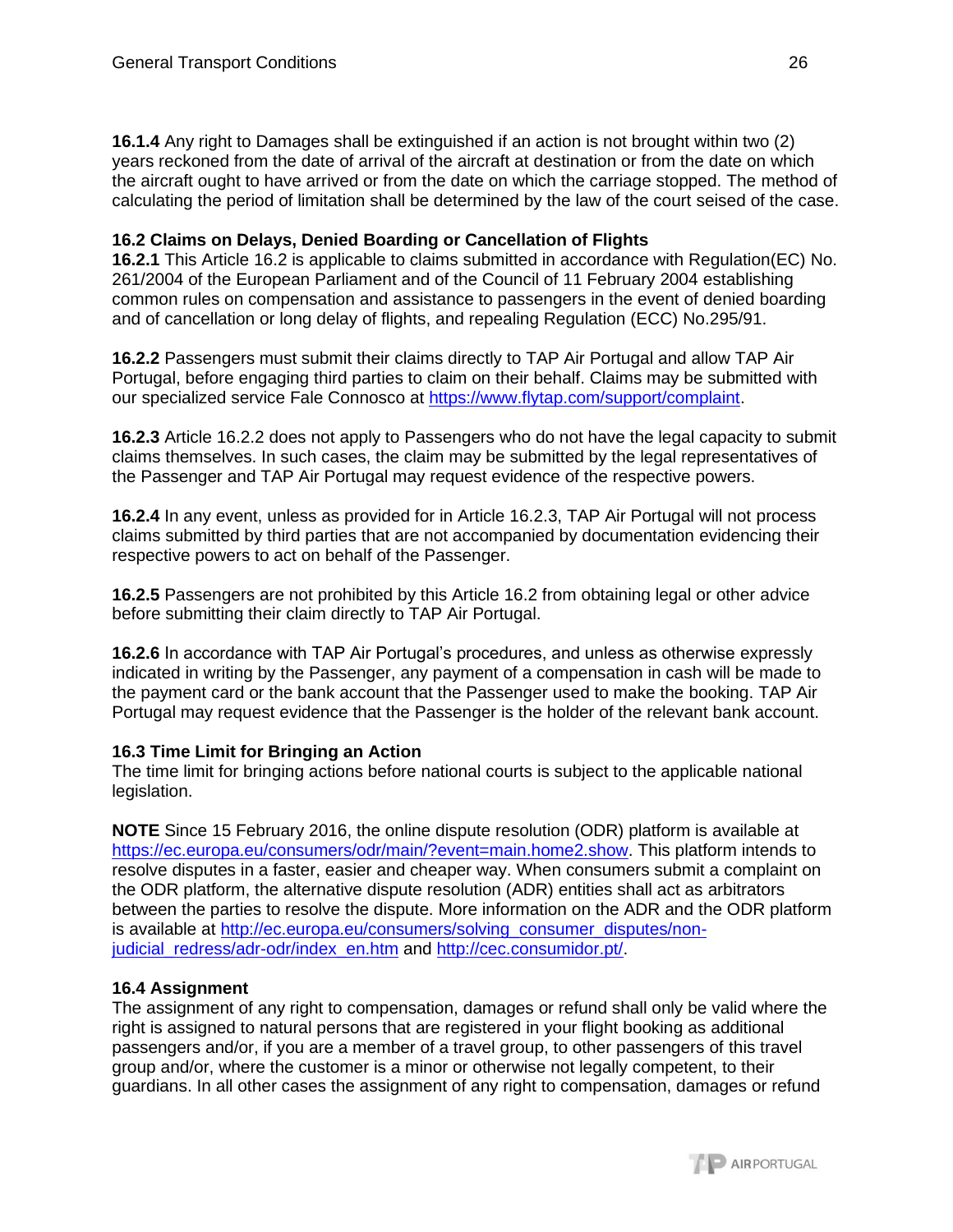**16.1.4** Any right to Damages shall be extinguished if an action is not brought within two (2) years reckoned from the date of arrival of the aircraft at destination or from the date on which the aircraft ought to have arrived or from the date on which the carriage stopped. The method of calculating the period of limitation shall be determined by the law of the court seised of the case.

## **16.2 Claims on Delays, Denied Boarding or Cancellation of Flights**

**16.2.1** This Article 16.2 is applicable to claims submitted in accordance with Regulation(EC) No. 261/2004 of the European Parliament and of the Council of 11 February 2004 establishing common rules on compensation and assistance to passengers in the event of denied boarding and of cancellation or long delay of flights, and repealing Regulation (ECC) No.295/91.

**16.2.2** Passengers must submit their claims directly to TAP Air Portugal and allow TAP Air Portugal, before engaging third parties to claim on their behalf. Claims may be submitted with our specialized service Fale Connosco at [https://www.flytap.com/support/complaint.](https://www.flytap.com/support/complaint)

**16.2.3** Article 16.2.2 does not apply to Passengers who do not have the legal capacity to submit claims themselves. In such cases, the claim may be submitted by the legal representatives of the Passenger and TAP Air Portugal may request evidence of the respective powers.

**16.2.4** In any event, unless as provided for in Article 16.2.3, TAP Air Portugal will not process claims submitted by third parties that are not accompanied by documentation evidencing their respective powers to act on behalf of the Passenger.

**16.2.5** Passengers are not prohibited by this Article 16.2 from obtaining legal or other advice before submitting their claim directly to TAP Air Portugal.

**16.2.6** In accordance with TAP Air Portugal's procedures, and unless as otherwise expressly indicated in writing by the Passenger, any payment of a compensation in cash will be made to the payment card or the bank account that the Passenger used to make the booking. TAP Air Portugal may request evidence that the Passenger is the holder of the relevant bank account.

# **16.3 Time Limit for Bringing an Action**

The time limit for bringing actions before national courts is subject to the applicable national legislation.

**NOTE** Since 15 February 2016, the online dispute resolution (ODR) platform is available at [https://ec.europa.eu/consumers/odr/main/?event=main.home2.show.](https://ec.europa.eu/consumers/odr/main/?event=main.home2.show) This platform intends to resolve disputes in a faster, easier and cheaper way. When consumers submit a complaint on the ODR platform, the alternative dispute resolution (ADR) entities shall act as arbitrators between the parties to resolve the dispute. More information on the ADR and the ODR platform is available at [http://ec.europa.eu/consumers/solving\\_consumer\\_disputes/non](http://ec.europa.eu/consumers/solving_consumer_disputes/non-judicial_redress/adr-odr/index_en.htm)[judicial\\_redress/adr-odr/index\\_en.htm](http://ec.europa.eu/consumers/solving_consumer_disputes/non-judicial_redress/adr-odr/index_en.htm) and [http://cec.consumidor.pt/.](http://cec.consumidor.pt/)

# **16.4 Assignment**

The assignment of any right to compensation, damages or refund shall only be valid where the right is assigned to natural persons that are registered in your flight booking as additional passengers and/or, if you are a member of a travel group, to other passengers of this travel group and/or, where the customer is a minor or otherwise not legally competent, to their guardians. In all other cases the assignment of any right to compensation, damages or refund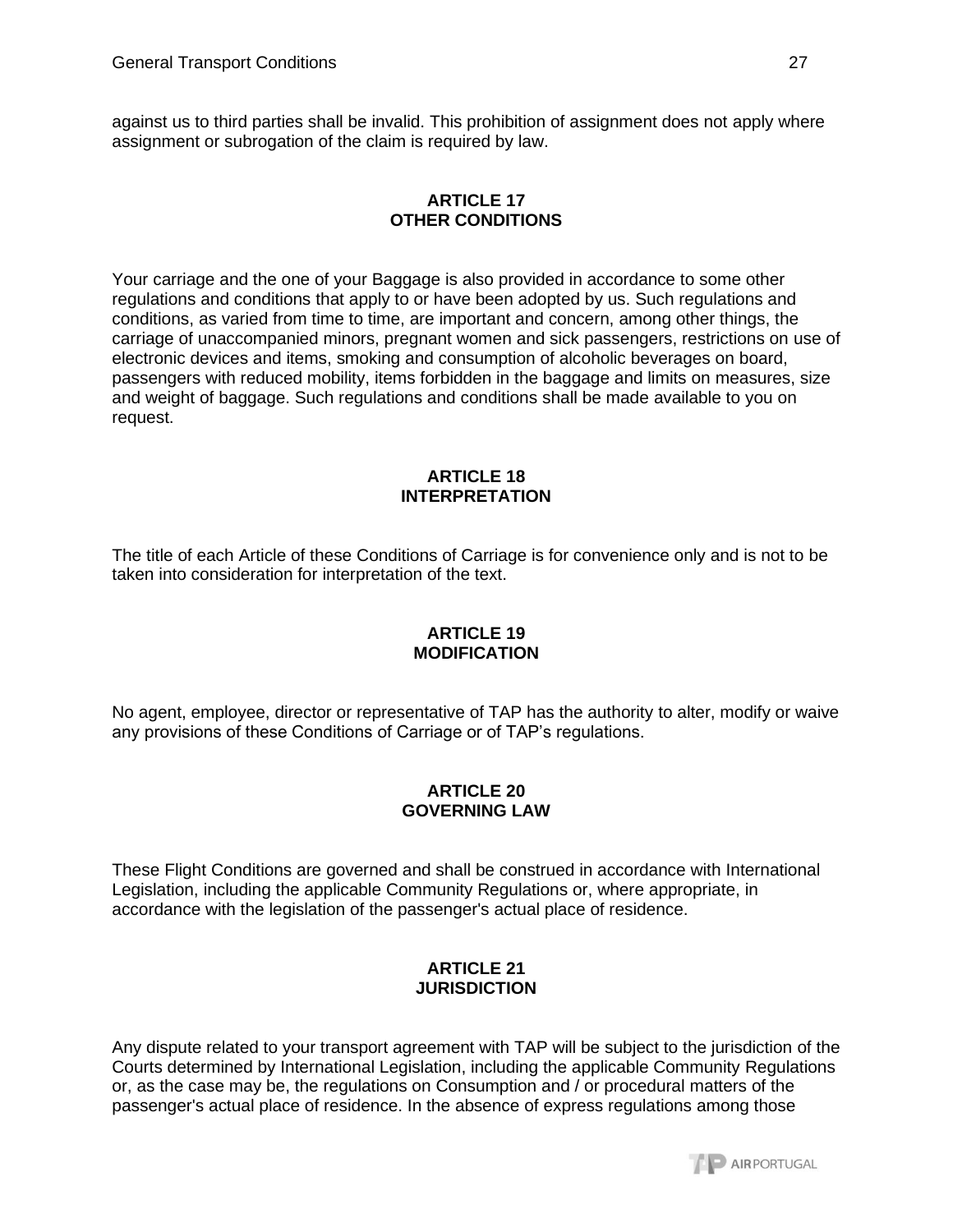against us to third parties shall be invalid. This prohibition of assignment does not apply where assignment or subrogation of the claim is required by law.

### **ARTICLE 17 OTHER CONDITIONS**

Your carriage and the one of your Baggage is also provided in accordance to some other regulations and conditions that apply to or have been adopted by us. Such regulations and conditions, as varied from time to time, are important and concern, among other things, the carriage of unaccompanied minors, pregnant women and sick passengers, restrictions on use of electronic devices and items, smoking and consumption of alcoholic beverages on board, passengers with reduced mobility, items forbidden in the baggage and limits on measures, size and weight of baggage. Such regulations and conditions shall be made available to you on request.

### **ARTICLE 18 INTERPRETATION**

The title of each Article of these Conditions of Carriage is for convenience only and is not to be taken into consideration for interpretation of the text.

### **ARTICLE 19 MODIFICATION**

No agent, employee, director or representative of TAP has the authority to alter, modify or waive any provisions of these Conditions of Carriage or of TAP's regulations.

### **ARTICLE 20 GOVERNING LAW**

These Flight Conditions are governed and shall be construed in accordance with International Legislation, including the applicable Community Regulations or, where appropriate, in accordance with the legislation of the passenger's actual place of residence.

### **ARTICLE 21 JURISDICTION**

Any dispute related to your transport agreement with TAP will be subject to the jurisdiction of the Courts determined by International Legislation, including the applicable Community Regulations or, as the case may be, the regulations on Consumption and / or procedural matters of the passenger's actual place of residence. In the absence of express regulations among those